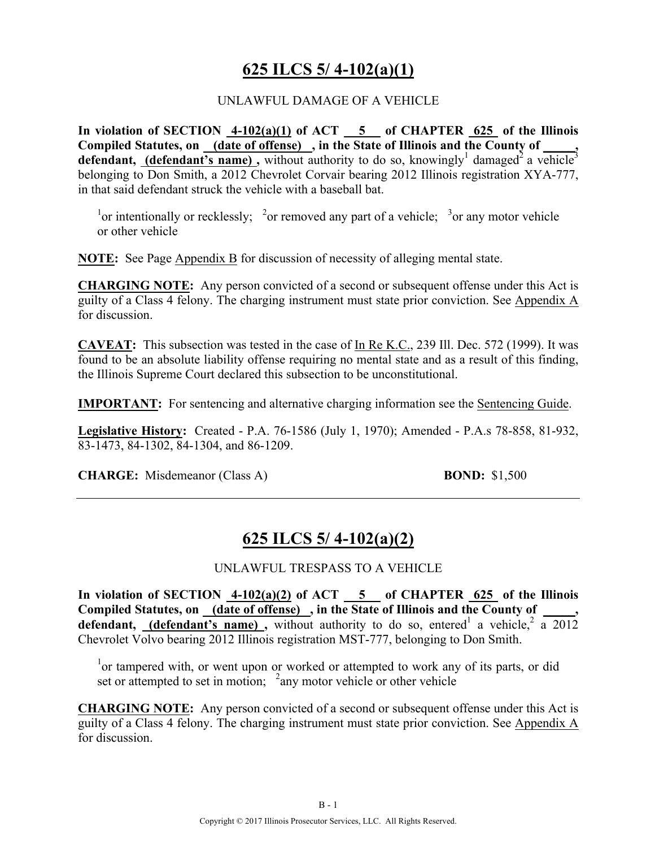### **625 ILCS 5/ 4-102(a)(1)**

#### UNLAWFUL DAMAGE OF A VEHICLE

In violation of SECTION  $4-102(a)(1)$  of ACT  $-5$  of CHAPTER  $625$  of the Illinois Compiled Statutes, on (date of offense), in the State of Illinois and the County of **defendant, (defendant's name)**, without authority to do so, knowingly<sup>1</sup> damaged<sup>2</sup> a vehicle<sup>3</sup> belonging to Don Smith, a 2012 Chevrolet Corvair bearing 2012 Illinois registration XYA-777, in that said defendant struck the vehicle with a baseball bat.

<sup>1</sup> or intentionally or recklessly; <sup>2</sup> or removed any part of a vehicle; <sup>3</sup> or any motor vehicle or other vehicle

**NOTE:** See Page Appendix B for discussion of necessity of alleging mental state.

**CHARGING NOTE:** Any person convicted of a second or subsequent offense under this Act is guilty of a Class 4 felony. The charging instrument must state prior conviction. See Appendix A for discussion.

**CAVEAT:** This subsection was tested in the case of In Re K.C., 239 Ill. Dec. 572 (1999). It was found to be an absolute liability offense requiring no mental state and as a result of this finding, the Illinois Supreme Court declared this subsection to be unconstitutional.

**IMPORTANT:** For sentencing and alternative charging information see the Sentencing Guide.

**Legislative History:** Created - P.A. 76-1586 (July 1, 1970); Amended - P.A.s 78-858, 81-932, 83-1473, 84-1302, 84-1304, and 86-1209.

**CHARGE:** Misdemeanor (Class A) **BOND:** \$1,500

### **625 ILCS 5/ 4-102(a)(2)**

#### UNLAWFUL TRESPASS TO A VEHICLE

**In violation of SECTION 4-102(a)(2) of ACT 5 of CHAPTER 625 of the Illinois**  Compiled Statutes, on (date of offense), in the State of Illinois and the County of **defendant,** (defendant's name), without authority to do so, entered<sup>1</sup> a vehicle,<sup>2</sup> a 2012 Chevrolet Volvo bearing 2012 Illinois registration MST-777, belonging to Don Smith.

<sup>1</sup>or tampered with, or went upon or worked or attempted to work any of its parts, or did set or attempted to set in motion;  $2$  any motor vehicle or other vehicle

**CHARGING NOTE:** Any person convicted of a second or subsequent offense under this Act is guilty of a Class 4 felony. The charging instrument must state prior conviction. See Appendix A for discussion.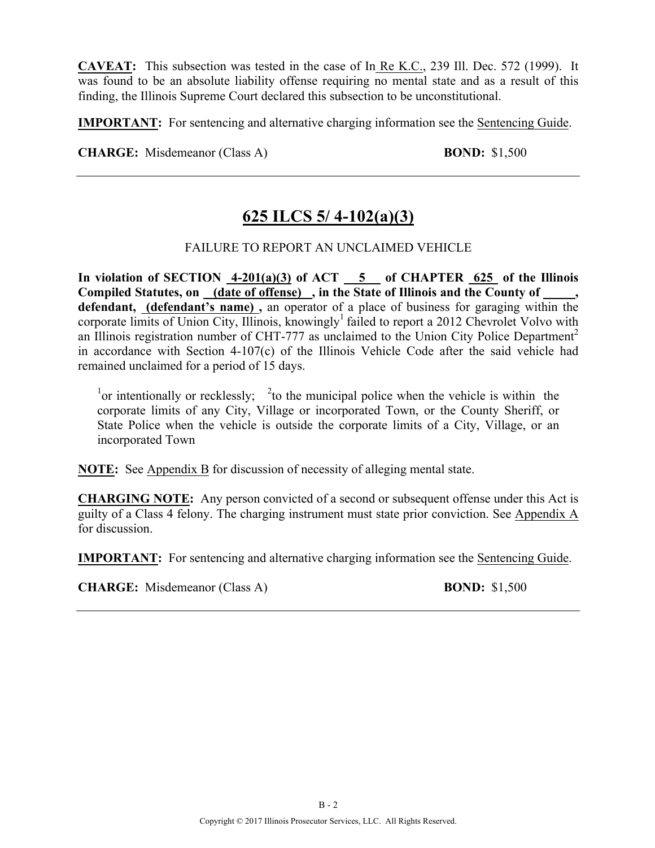**CAVEAT:** This subsection was tested in the case of In Re K.C., 239 Ill. Dec. 572 (1999). It was found to be an absolute liability offense requiring no mental state and as a result of this finding, the Illinois Supreme Court declared this subsection to be unconstitutional.

**IMPORTANT:** For sentencing and alternative charging information see the Sentencing Guide.

**CHARGE:** Misdemeanor (Class A) **BOND:** \$1,500

### **625 ILCS 5/ 4-102(a)(3)**

FAILURE TO REPORT AN UNCLAIMED VEHICLE

**In violation of SECTION 4-201(a)(3) of ACT 5 of CHAPTER 625 of the Illinois Compiled Statutes, on (date of offense) , in the State of Illinois and the County of \_\_\_\_\_, defendant, (defendant's name) ,** an operator of a place of business for garaging within the corporate limits of Union City, Illinois, knowingly<sup>1</sup> failed to report a 2012 Chevrolet Volvo with an Illinois registration number of CHT-777 as unclaimed to the Union City Police Department<sup>2</sup> in accordance with Section 4-107(c) of the Illinois Vehicle Code after the said vehicle had remained unclaimed for a period of 15 days.

<sup>1</sup> or intentionally or recklessly; <sup>2</sup> to the municipal police when the vehicle is within the corporate limits of any City, Village or incorporated Town, or the County Sheriff, or State Police when the vehicle is outside the corporate limits of a City, Village, or an incorporated Town

**NOTE:** See Appendix B for discussion of necessity of alleging mental state.

**CHARGING NOTE:** Any person convicted of a second or subsequent offense under this Act is guilty of a Class 4 felony. The charging instrument must state prior conviction. See Appendix A for discussion.

**IMPORTANT:** For sentencing and alternative charging information see the Sentencing Guide.

**CHARGE:** Misdemeanor (Class A) **BOND:** \$1,500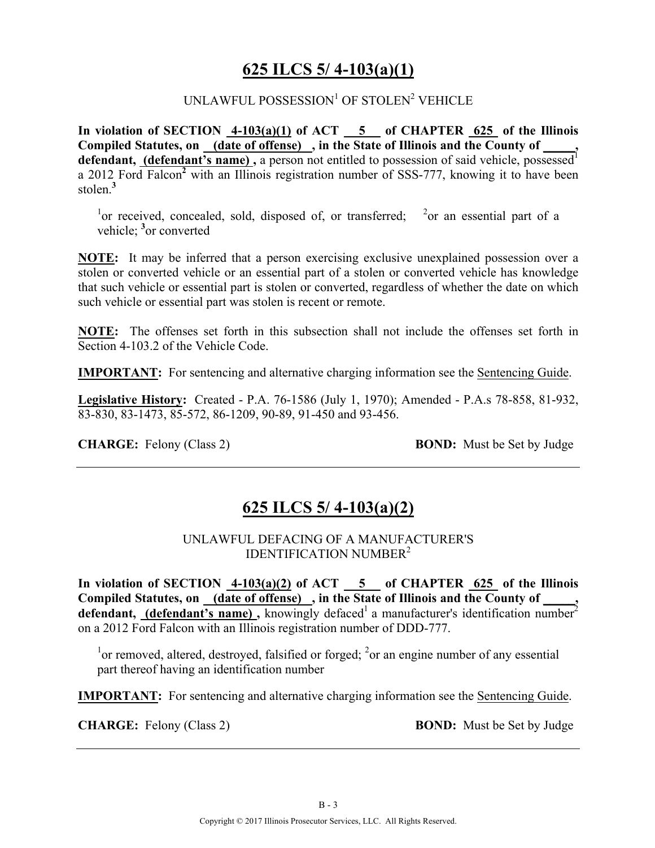### **625 ILCS 5/ 4-103(a)(1)**

#### UNLAWFUL POSSESSION<sup>1</sup> OF STOLEN<sup>2</sup> VEHICLE

**In violation of SECTION 4-103(a)(1) of ACT 5 of CHAPTER 625 of the Illinois Compiled Statutes, on (date of offense) , in the State of Illinois and the County of \_\_\_\_\_,**  defendant, (defendant's name), a person not entitled to possession of said vehicle, possessed<sup>1</sup> a 2012 Ford Falcon**<sup>2</sup>** with an Illinois registration number of SSS-777, knowing it to have been stolen.**<sup>3</sup>**

<sup>1</sup>or received, concealed, sold, disposed of, or transferred; <sup>2</sup>or an essential part of a vehicle; <sup>3</sup> or converted

**NOTE:** It may be inferred that a person exercising exclusive unexplained possession over a stolen or converted vehicle or an essential part of a stolen or converted vehicle has knowledge that such vehicle or essential part is stolen or converted, regardless of whether the date on which such vehicle or essential part was stolen is recent or remote.

**NOTE:** The offenses set forth in this subsection shall not include the offenses set forth in Section 4-103.2 of the Vehicle Code.

**IMPORTANT:** For sentencing and alternative charging information see the Sentencing Guide.

**Legislative History:** Created - P.A. 76-1586 (July 1, 1970); Amended - P.A.s 78-858, 81-932, 83-830, 83-1473, 85-572, 86-1209, 90-89, 91-450 and 93-456.

**CHARGE:** Felony (Class 2) **BOND:** Must be Set by Judge

### **625 ILCS 5/ 4-103(a)(2)**

UNLAWFUL DEFACING OF A MANUFACTURER'S IDENTIFICATION NUMBER2

**In violation of SECTION 4-103(a)(2) of ACT 5 of CHAPTER 625 of the Illinois Compiled Statutes, on (date of offense) , in the State of Illinois and the County of \_\_\_\_\_, defendant, (defendant's name)**, knowingly defaced<sup>1</sup> a manufacturer's identification number<sup>2</sup> on a 2012 Ford Falcon with an Illinois registration number of DDD-777.

 $1$ <sup>1</sup> or removed, altered, destroyed, falsified or forged;  $2$  or an engine number of any essential part thereof having an identification number

**IMPORTANT:** For sentencing and alternative charging information see the Sentencing Guide.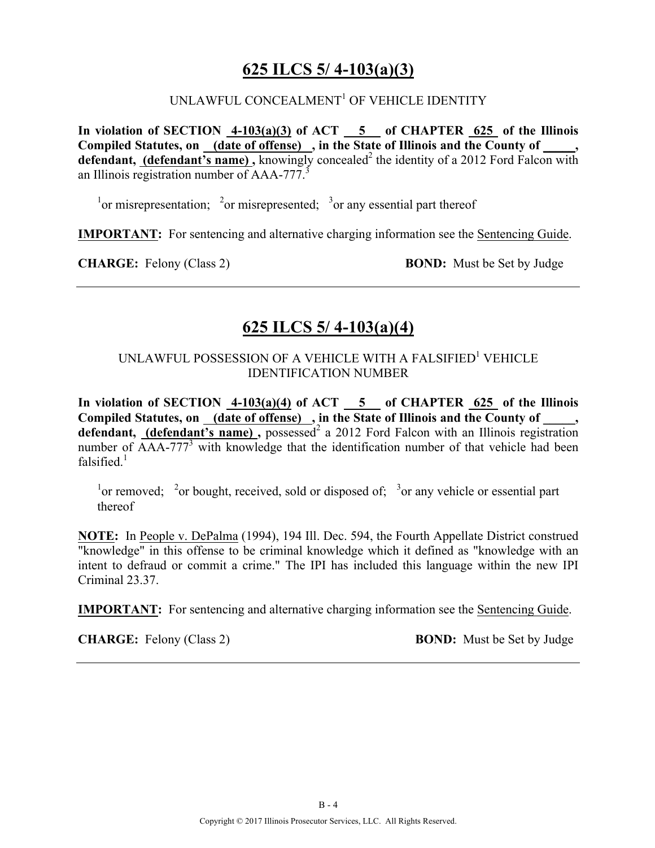### **625 ILCS 5/ 4-103(a)(3)**

#### UNLAWFUL CONCEALMENT<sup>1</sup> OF VEHICLE IDENTITY

**In violation of SECTION 4-103(a)(3) of ACT 5 of CHAPTER 625 of the Illinois Compiled Statutes, on (date of offense) , in the State of Illinois and the County of \_\_\_\_\_, defendant, (defendant's name),** knowingly concealed<sup>2</sup> the identity of a 2012 Ford Falcon with an Illinois registration number of AAA-777.<sup>3</sup>

<sup>1</sup> or misrepresentation; <sup>2</sup> or misrepresented; <sup>3</sup> or any essential part thereof

**IMPORTANT:** For sentencing and alternative charging information see the Sentencing Guide.

**CHARGE:** Felony (Class 2) **BOND:** Must be Set by Judge

### **625 ILCS 5/ 4-103(a)(4)**

#### UNLAWFUL POSSESSION OF A VEHICLE WITH A FALSIFIED<sup>1</sup> VEHICLE IDENTIFICATION NUMBER

**In violation of SECTION 4-103(a)(4) of ACT 5 of CHAPTER 625 of the Illinois**  Compiled Statutes, on (date of offense), in the State of Illinois and the County of \_\_\_\_, defendant, (defendant's name), possessed<sup>2</sup> a 2012 Ford Falcon with an Illinois registration number of  $\overline{AAA}$ -77<sup>3</sup> with knowledge that the identification number of that vehicle had been falsified $<sup>1</sup>$ </sup>

<sup>1</sup> or removed; <sup>2</sup> or bought, received, sold or disposed of; <sup>3</sup> or any vehicle or essential part thereof

**NOTE:** In People v. DePalma (1994), 194 Ill. Dec. 594, the Fourth Appellate District construed "knowledge" in this offense to be criminal knowledge which it defined as "knowledge with an intent to defraud or commit a crime." The IPI has included this language within the new IPI Criminal 23.37.

**IMPORTANT:** For sentencing and alternative charging information see the Sentencing Guide.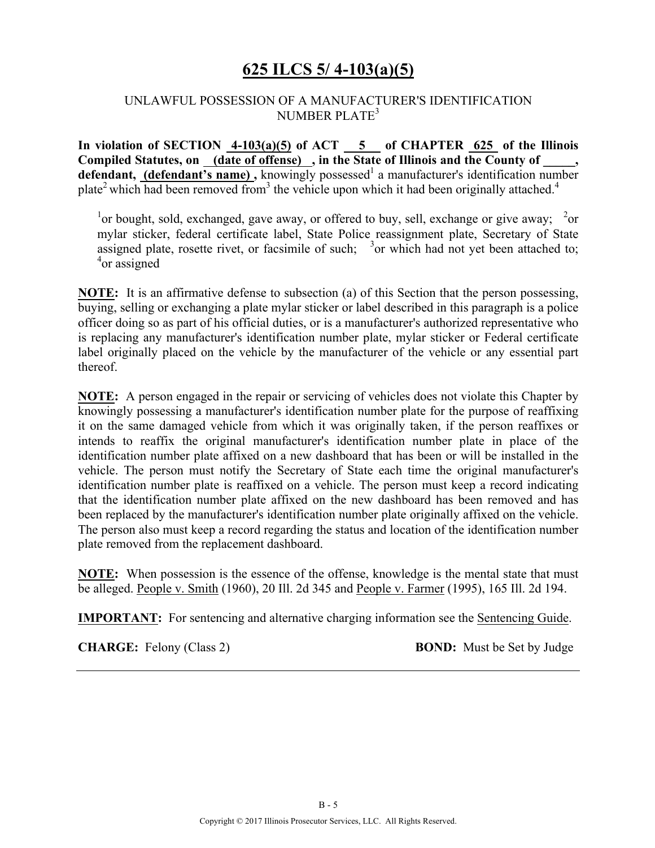### **625 ILCS 5/ 4-103(a)(5)**

#### UNLAWFUL POSSESSION OF A MANUFACTURER'S IDENTIFICATION NUMBER PLATE<sup>3</sup>

**In violation of SECTION 4-103(a)(5) of ACT 5 of CHAPTER 625 of the Illinois**  Compiled Statutes, on (date of offense), in the State of Illinois and the County of, **defendant, (defendant's name)**, knowingly possessed<sup>1</sup> a manufacturer's identification number plate<sup>2</sup> which had been removed from<sup>3</sup> the vehicle upon which it had been originally attached.<sup>4</sup>

<sup>1</sup> or bought, sold, exchanged, gave away, or offered to buy, sell, exchange or give away;  $\frac{2}{3}$  or mylar sticker, federal certificate label, State Police reassignment plate, Secretary of State assigned plate, rosette rivet, or facsimile of such;  $3$  or which had not yet been attached to; 4 or assigned

**NOTE:** It is an affirmative defense to subsection (a) of this Section that the person possessing, buying, selling or exchanging a plate mylar sticker or label described in this paragraph is a police officer doing so as part of his official duties, or is a manufacturer's authorized representative who is replacing any manufacturer's identification number plate, mylar sticker or Federal certificate label originally placed on the vehicle by the manufacturer of the vehicle or any essential part thereof.

**NOTE:** A person engaged in the repair or servicing of vehicles does not violate this Chapter by knowingly possessing a manufacturer's identification number plate for the purpose of reaffixing it on the same damaged vehicle from which it was originally taken, if the person reaffixes or intends to reaffix the original manufacturer's identification number plate in place of the identification number plate affixed on a new dashboard that has been or will be installed in the vehicle. The person must notify the Secretary of State each time the original manufacturer's identification number plate is reaffixed on a vehicle. The person must keep a record indicating that the identification number plate affixed on the new dashboard has been removed and has been replaced by the manufacturer's identification number plate originally affixed on the vehicle. The person also must keep a record regarding the status and location of the identification number plate removed from the replacement dashboard.

**NOTE:** When possession is the essence of the offense, knowledge is the mental state that must be alleged. People v. Smith (1960), 20 Ill. 2d 345 and People v. Farmer (1995), 165 Ill. 2d 194.

**IMPORTANT:** For sentencing and alternative charging information see the Sentencing Guide.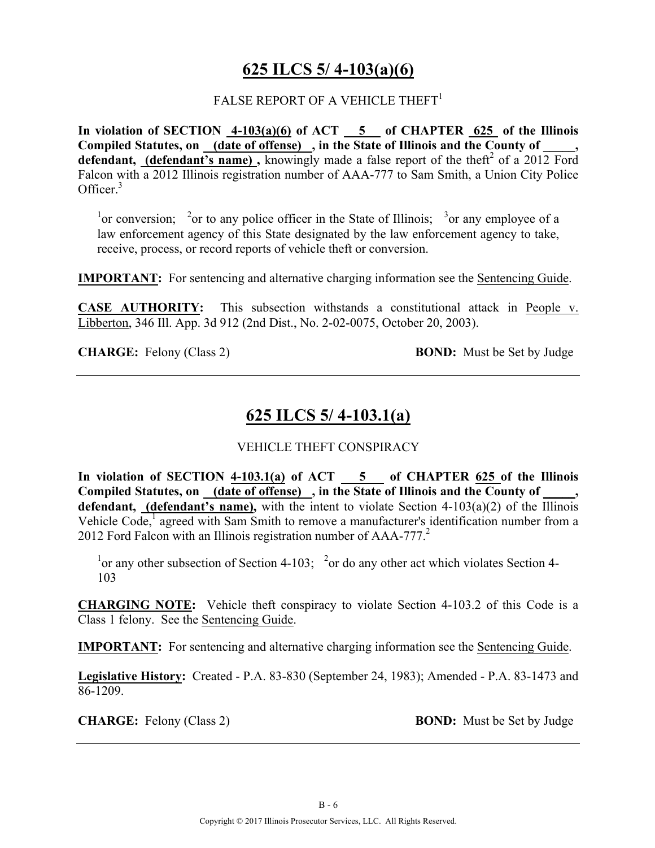### **625 ILCS 5/ 4-103(a)(6)**

#### FALSE REPORT OF A VEHICLE THEFT $^1$

**In violation of SECTION 4-103(a)(6) of ACT 5 of CHAPTER 625 of the Illinois Compiled Statutes, on (date of offense) , in the State of Illinois and the County of \_\_\_\_\_, defendant, (defendant's name),** knowingly made a false report of the theft<sup>2</sup> of a 2012 Ford Falcon with a 2012 Illinois registration number of AAA-777 to Sam Smith, a Union City Police Officer.<sup>3</sup>

<sup>1</sup> or conversion; <sup>2</sup> or to any police officer in the State of Illinois; <sup>3</sup> or any employee of a law enforcement agency of this State designated by the law enforcement agency to take, receive, process, or record reports of vehicle theft or conversion.

**IMPORTANT:** For sentencing and alternative charging information see the Sentencing Guide.

**CASE AUTHORITY:** This subsection withstands a constitutional attack in People v. Libberton, 346 Ill. App. 3d 912 (2nd Dist., No. 2-02-0075, October 20, 2003).

**CHARGE:** Felony (Class 2) **BOND:** Must be Set by Judge

### **625 ILCS 5/ 4-103.1(a)**

#### VEHICLE THEFT CONSPIRACY

**In violation of SECTION 4-103.1(a) of ACT 5 of CHAPTER 625 of the Illinois**  Compiled Statutes, on (date of offense), in the State of Illinois and the County of **defendant, (defendant's name),** with the intent to violate Section 4-103(a)(2) of the Illinois Vehicle Code,<sup>1</sup> agreed with Sam Smith to remove a manufacturer's identification number from a 2012 Ford Falcon with an Illinois registration number of  $AAA-777<sup>2</sup>$ 

<sup>1</sup> or any other subsection of Section 4-103; <sup>2</sup> or do any other act which violates Section 4-103

**CHARGING NOTE:** Vehicle theft conspiracy to violate Section 4-103.2 of this Code is a Class 1 felony. See the Sentencing Guide.

**IMPORTANT:** For sentencing and alternative charging information see the Sentencing Guide.

**Legislative History:** Created - P.A. 83-830 (September 24, 1983); Amended - P.A. 83-1473 and 86-1209.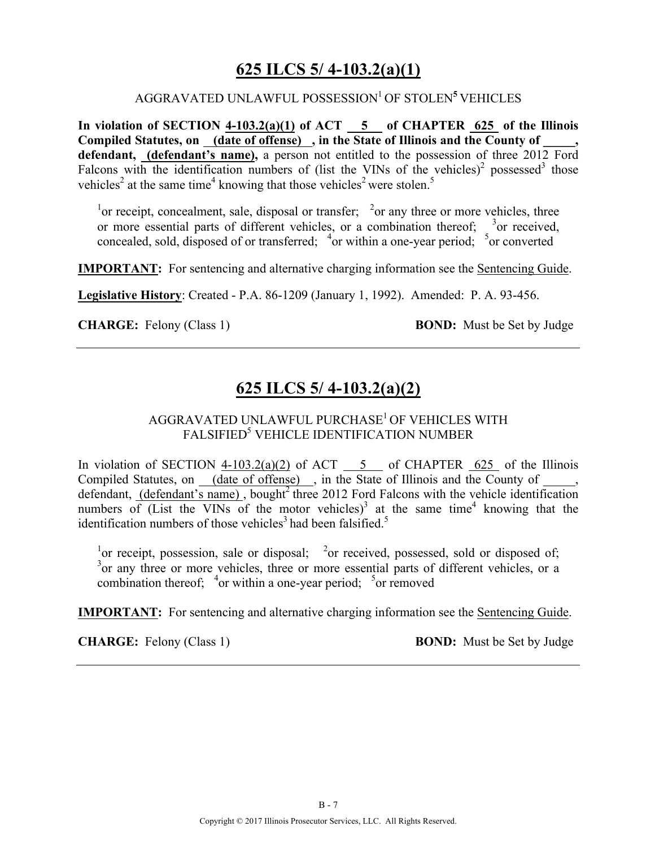### **625 ILCS 5/ 4-103.2(a)(1)**

#### AGGRAVATED UNLAWFUL POSSESSION1 OF STOLEN**<sup>5</sup>** VEHICLES

**In violation of SECTION 4-103.2(a)(1) of ACT 5 of CHAPTER 625 of the Illinois**  Compiled Statutes, on <u>(date of offense)</u>, in the State of Illinois and the County of **defendant, (defendant's name),** a person not entitled to the possession of three 2012 Ford Falcons with the identification numbers of (list the VINs of the vehicles)<sup>2</sup> possessed<sup>3</sup> those vehicles<sup>2</sup> at the same time<sup>4</sup> knowing that those vehicles<sup>2</sup> were stolen.<sup>5</sup>

<sup>1</sup> or receipt, concealment, sale, disposal or transfer;  $\frac{2}{x}$  or any three or more vehicles, three or more essential parts of different vehicles, or a combination thereof;  $\frac{3}{2}$  or received, concealed, sold, disposed of or transferred;  $\frac{4}{3}$  or within a one-year period;  $\frac{5}{3}$  or converted

**IMPORTANT:** For sentencing and alternative charging information see the Sentencing Guide.

**Legislative History**: Created - P.A. 86-1209 (January 1, 1992). Amended: P. A. 93-456.

**CHARGE:** Felony (Class 1) **BOND:** Must be Set by Judge

### **625 ILCS 5/ 4-103.2(a)(2)**

#### AGGRAVATED UNLAWFUL PURCHASE<sup>1</sup> OF VEHICLES WITH FALSIFIED<sup>5</sup> VEHICLE IDENTIFICATION NUMBER

In violation of SECTION  $4-103.2(a)(2)$  of ACT  $\overline{5}$  of CHAPTER 625 of the Illinois Compiled Statutes, on  $\_\_\_$  (date of offense) , in the State of Illinois and the County of defendant, (defendant's name), bought<sup>2</sup> three 2012 Ford Falcons with the vehicle identification numbers of (List the VINs of the motor vehicles)<sup>3</sup> at the same time<sup>4</sup> knowing that the identification numbers of those vehicles<sup>3</sup> had been falsified.<sup>5</sup>

<sup>1</sup> or receipt, possession, sale or disposal; <sup>2</sup> or received, possessed, sold or disposed of; <sup>3</sup> or any three or more vehicles, three or more essential parts of different vehicles, or a combination thereof;  $\frac{4}{3}$ or within a one-year period;  $\frac{5}{3}$ or removed

**IMPORTANT:** For sentencing and alternative charging information see the **Sentencing Guide**.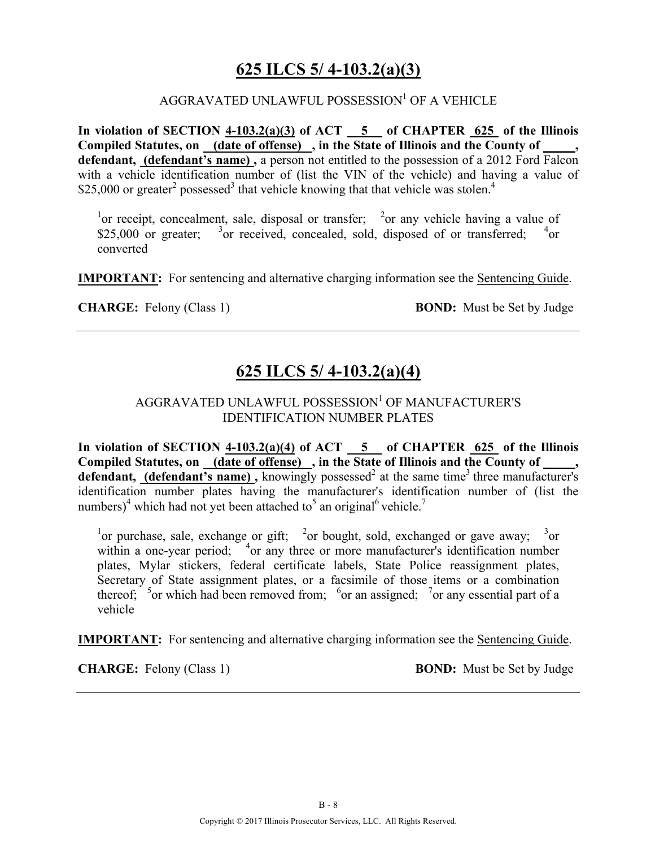### **625 ILCS 5/ 4-103.2(a)(3)**

#### $AGGRAVATED UNLAWFUL POSSESSION<sup>1</sup> OF A VEHICLE$

**In violation of SECTION 4-103.2(a)(3) of ACT 5 of CHAPTER 625 of the Illinois Compiled Statutes, on (date of offense) , in the State of Illinois and the County of \_\_\_\_\_, defendant, (defendant's name) ,** a person not entitled to the possession of a 2012 Ford Falcon with a vehicle identification number of (list the VIN of the vehicle) and having a value of \$25,000 or greater<sup>2</sup> possessed<sup>3</sup> that vehicle knowing that that vehicle was stolen.<sup>4</sup>

<sup>1</sup>or receipt, concealment, sale, disposal or transfer; <sup>2</sup>or any vehicle having a value of \$25,000 or greater; <sup>3</sup> or received, concealed, sold, disposed of or transferred; <sup>4</sup>  $^{4}$ or converted

**IMPORTANT:** For sentencing and alternative charging information see the Sentencing Guide.

**CHARGE:** Felony (Class 1) **BOND:** Must be Set by Judge

### **625 ILCS 5/ 4-103.2(a)(4)**

#### AGGRAVATED UNLAWFUL POSSESSION<sup>1</sup> OF MANUFACTURER'S IDENTIFICATION NUMBER PLATES

**In violation of SECTION 4-103.2(a)(4) of ACT 5 of CHAPTER 625 of the Illinois Compiled Statutes, on (date of offense) , in the State of Illinois and the County of \_\_\_\_\_, defendant, (defendant's name)**, knowingly possessed<sup>2</sup> at the same time<sup>3</sup> three manufacturer's identification number plates having the manufacturer's identification number of (list the numbers)<sup>4</sup> which had not yet been attached to<sup>5</sup> an original<sup>6</sup> vehicle.<sup>7</sup>

<sup>1</sup> or purchase, sale, exchange or gift; <sup>2</sup> or bought, sold, exchanged or gave away; <sup>3</sup> or within a one-year period; <sup>4</sup> or any three or more manufacturer's identification number plates, Mylar stickers, federal certificate labels, State Police reassignment plates, Secretary of State assignment plates, or a facsimile of those items or a combination thereof;  $\frac{5}{3}$  or which had been removed from;  $\frac{6}{3}$  or an assigned;  $\frac{7}{3}$  or any essential part of a vehicle

**IMPORTANT:** For sentencing and alternative charging information see the Sentencing Guide.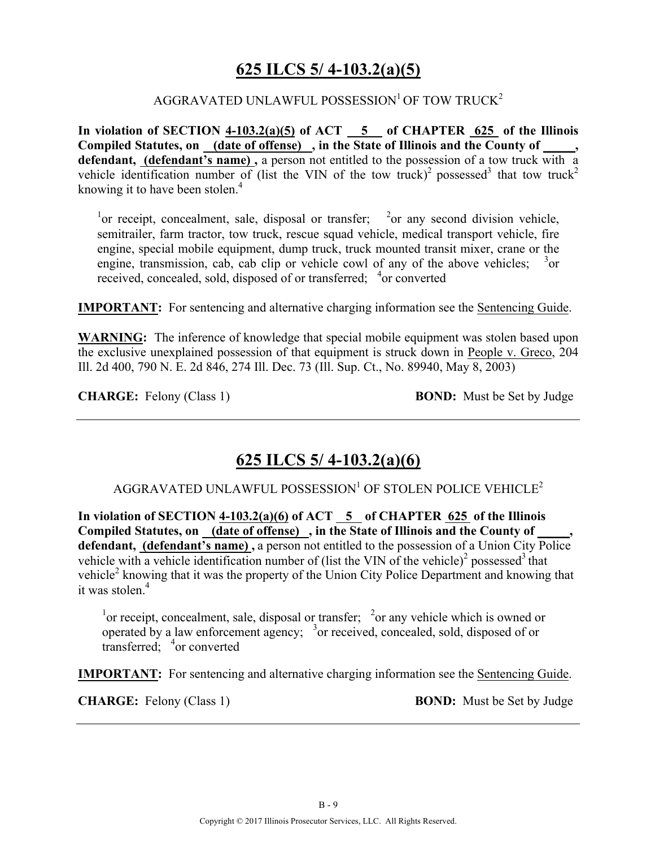### **625 ILCS 5/ 4-103.2(a)(5)**

#### AGGRAVATED UNLAWFUL POSSESSION<sup>1</sup> OF TOW TRUCK<sup>2</sup>

**In violation of SECTION 4-103.2(a)(5) of ACT 5 of CHAPTER 625 of the Illinois Compiled Statutes, on (date of offense) , in the State of Illinois and the County of \_\_\_\_\_, defendant, (defendant's name) ,** a person not entitled to the possession of a tow truck with a vehicle identification number of (list the VIN of the tow truck)<sup>2</sup> possessed<sup>3</sup> that tow truck<sup>2</sup> knowing it to have been stolen.<sup>4</sup>

<sup>1</sup> or receipt, concealment, sale, disposal or transfer; <sup>2</sup> or any second division vehicle, semitrailer, farm tractor, tow truck, rescue squad vehicle, medical transport vehicle, fire engine, special mobile equipment, dump truck, truck mounted transit mixer, crane or the engine, transmission, cab, cab clip or vehicle cowl of any of the above vehicles;  $3_{\text{or}}$ received, concealed, sold, disposed of or transferred; <sup>4</sup>or converted

**IMPORTANT:** For sentencing and alternative charging information see the Sentencing Guide.

**WARNING:** The inference of knowledge that special mobile equipment was stolen based upon the exclusive unexplained possession of that equipment is struck down in People v. Greco, 204 Ill. 2d 400, 790 N. E. 2d 846, 274 Ill. Dec. 73 (Ill. Sup. Ct., No. 89940, May 8, 2003)

**CHARGE:** Felony (Class 1) **BOND:** Must be Set by Judge

### **625 ILCS 5/ 4-103.2(a)(6)**

AGGRAVATED UNLAWFUL POSSESSION<sup>1</sup> OF STOLEN POLICE VEHICLE<sup>2</sup>

In violation of SECTION  $4-103.2(a)(6)$  of ACT  $\overline{5}$  of CHAPTER 625 of the Illinois Compiled Statutes, on (date of offense), in the State of Illinois and the County of defendant, **(defendant's name)**, a person not entitled to the possession of a Union City Police vehicle with a vehicle identification number of (list the VIN of the vehicle)<sup>2</sup> possessed<sup>3</sup> that vehicle<sup>2</sup> knowing that it was the property of the Union City Police Department and knowing that it was stolen.<sup>4</sup>

<sup>1</sup> or receipt, concealment, sale, disposal or transfer;  $\frac{2}{x}$  or any vehicle which is owned or operated by a law enforcement agency;  $3\sigma$  received, concealed, sold, disposed of or transferred; <sup>4</sup> or converted

**IMPORTANT:** For sentencing and alternative charging information see the Sentencing Guide.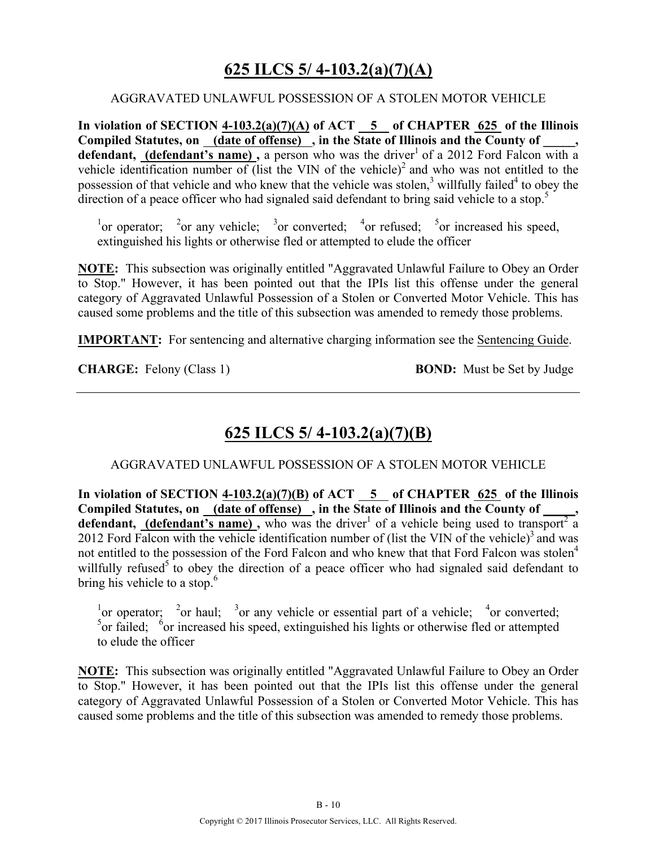# **625 ILCS 5/ 4-103.2(a)(7)(A)**

#### AGGRAVATED UNLAWFUL POSSESSION OF A STOLEN MOTOR VEHICLE

**In violation of SECTION 4-103.2(a)(7)(A) of ACT 5 of CHAPTER 625 of the Illinois**  Compiled Statutes, on <u>(date of offense)</u>, in the State of Illinois and the County of \_\_\_\_\_, **defendant, (defendant's name),** a person who was the driver<sup>1</sup> of a 2012 Ford Falcon with a vehicle identification number of (list the VIN of the vehicle)<sup>2</sup> and who was not entitled to the possession of that vehicle and who knew that the vehicle was stolen, $3$  willfully failed<sup>4</sup> to obey the direction of a peace officer who had signaled said defendant to bring said vehicle to a stop.<sup>5</sup>

<sup>1</sup> or operator; <sup>2</sup> or any vehicle; <sup>3</sup> or converted; <sup>4</sup> or refused; <sup>5</sup> or increased his speed, extinguished his lights or otherwise fled or attempted to elude the officer

**NOTE:** This subsection was originally entitled "Aggravated Unlawful Failure to Obey an Order to Stop." However, it has been pointed out that the IPIs list this offense under the general category of Aggravated Unlawful Possession of a Stolen or Converted Motor Vehicle. This has caused some problems and the title of this subsection was amended to remedy those problems.

**IMPORTANT:** For sentencing and alternative charging information see the Sentencing Guide.

**CHARGE:** Felony (Class 1) **BOND:** Must be Set by Judge

### **625 ILCS 5/ 4-103.2(a)(7)(B)**

AGGRAVATED UNLAWFUL POSSESSION OF A STOLEN MOTOR VEHICLE

**In violation of SECTION 4-103.2(a)(7)(B) of ACT 5 of CHAPTER 625 of the Illinois**  Compiled Statutes, on (date of offense), in the State of Illinois and the County of defendant, (defendant's name), who was the driver<sup>1</sup> of a vehicle being used to transport<sup>2</sup> a 2012 Ford Falcon with the vehicle identification number of (list the VIN of the vehicle) $3$  and was not entitled to the possession of the Ford Falcon and who knew that that Ford Falcon was stolen<sup>4</sup> willfully refused<sup>5</sup> to obey the direction of a peace officer who had signaled said defendant to bring his vehicle to a stop.<sup>6</sup>

<sup>1</sup>or operator; <sup>2</sup>or haul; <sup>3</sup>or any vehicle or essential part of a vehicle; <sup>4</sup>or converted;  $5$  or failed;  $6$  or increased his speed, extinguished his lights or otherwise fled or attempted to elude the officer

**NOTE:** This subsection was originally entitled "Aggravated Unlawful Failure to Obey an Order to Stop." However, it has been pointed out that the IPIs list this offense under the general category of Aggravated Unlawful Possession of a Stolen or Converted Motor Vehicle. This has caused some problems and the title of this subsection was amended to remedy those problems.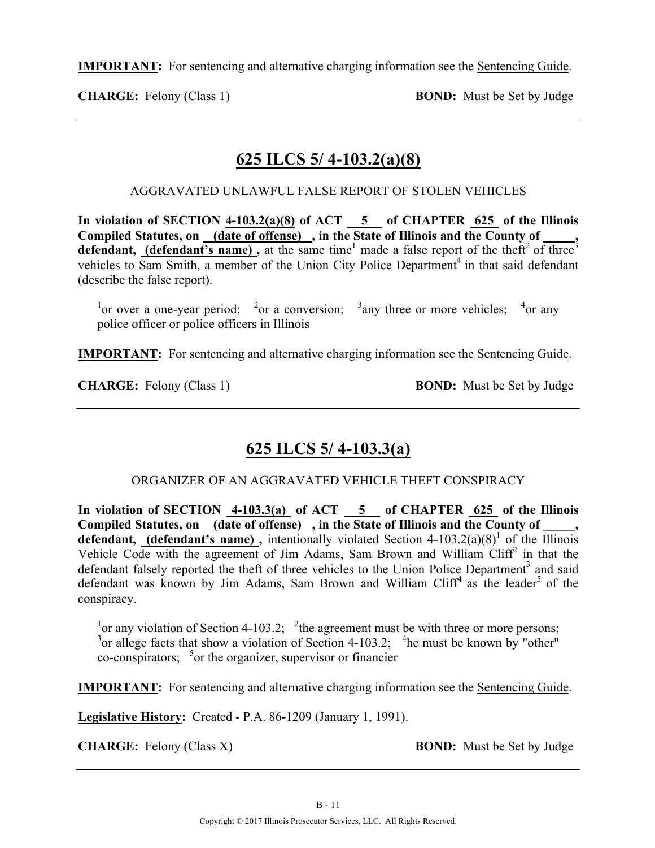**CHARGE:** Felony (Class 1) **BOND:** Must be Set by Judge

### **625 ILCS 5/ 4-103.2(a)(8)**

AGGRAVATED UNLAWFUL FALSE REPORT OF STOLEN VEHICLES

In violation of SECTION  $4-103.2(a)(8)$  of ACT  $\overline{5}$  of CHAPTER  $\overline{625}$  of the Illinois **Compiled Statutes, on (date of offense) , in the State of Illinois and the County of \_\_\_\_\_, defendant, (defendant's name)**, at the same time<sup>1</sup> made a false report of the theft<sup>2</sup> of three<sup>3</sup> vehicles to Sam Smith, a member of the Union City Police Department<sup>4</sup> in that said defendant (describe the false report).

<sup>1</sup> or over a one-year period; <sup>2</sup> or a conversion; <sup>3</sup> any three or more vehicles; <sup>4</sup> or any police officer or police officers in Illinois

**IMPORTANT:** For sentencing and alternative charging information see the Sentencing Guide.

**CHARGE:** Felony (Class 1) **BOND:** Must be Set by Judge

# **625 ILCS 5/ 4-103.3(a)**

ORGANIZER OF AN AGGRAVATED VEHICLE THEFT CONSPIRACY

In violation of SECTION 4-103.3(a) of ACT 5 of CHAPTER 625 of the Illinois Compiled Statutes, on \_(date of offense) , in the State of Illinois and the County of \_ **defendant, (defendant's name)**, intentionally violated Section  $4-103.2(a)(8)^1$  of the Illinois Vehicle Code with the agreement of Jim Adams, Sam Brown and William Cliff<sup>2</sup> in that the defendant falsely reported the theft of three vehicles to the Union Police Department<sup>3</sup> and said defendant was known by Jim Adams, Sam Brown and William Cliff<sup>4</sup> as the leader<sup>5</sup> of the conspiracy.

<sup>1</sup> or any violation of Section 4-103.2; <sup>2</sup> the agreement must be with three or more persons;  $3$  or allege facts that show a violation of Section 4-103.2;  $4$ he must be known by "other"  $\cos$ -conspirators;  $5$  or the organizer, supervisor or financier

**IMPORTANT:** For sentencing and alternative charging information see the Sentencing Guide.

**Legislative History:** Created - P.A. 86-1209 (January 1, 1991).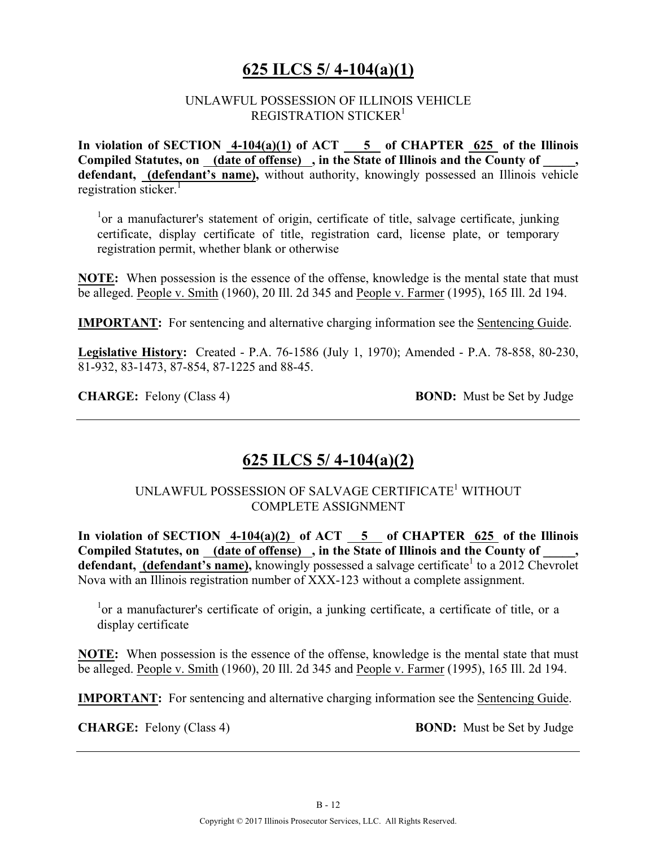### **625 ILCS 5/ 4-104(a)(1)**

#### UNLAWFUL POSSESSION OF ILLINOIS VEHICLE REGISTRATION STICKER<sup>1</sup>

**In violation of SECTION 4-104(a)(1) of ACT 5 of CHAPTER 625 of the Illinois Compiled Statutes, on (date of offense) , in the State of Illinois and the County of \_\_\_\_\_, defendant, (defendant's name),** without authority, knowingly possessed an Illinois vehicle registration sticker $<sup>1</sup>$ </sup>

<sup>1</sup>or a manufacturer's statement of origin, certificate of title, salvage certificate, junking certificate, display certificate of title, registration card, license plate, or temporary registration permit, whether blank or otherwise

**NOTE:** When possession is the essence of the offense, knowledge is the mental state that must be alleged. People v. Smith (1960), 20 Ill. 2d 345 and People v. Farmer (1995), 165 Ill. 2d 194.

**IMPORTANT:** For sentencing and alternative charging information see the Sentencing Guide.

**Legislative History:** Created - P.A. 76-1586 (July 1, 1970); Amended - P.A. 78-858, 80-230, 81-932, 83-1473, 87-854, 87-1225 and 88-45.

**CHARGE:** Felony (Class 4) **BOND:** Must be Set by Judge

# **625 ILCS 5/ 4-104(a)(2)**

UNLAWFUL POSSESSION OF SALVAGE CERTIFICATE1 WITHOUT COMPLETE ASSIGNMENT

In violation of SECTION  $4-104(a)(2)$  of ACT  $\overline{5}$  of CHAPTER  $625$  of the Illinois Compiled Statutes, on (date of offense), in the State of Illinois and the County of **defendant, (defendant's name),** knowingly possessed a salvage certificate<sup>1</sup> to a 2012 Chevrolet Nova with an Illinois registration number of XXX-123 without a complete assignment.

<sup>1</sup>or a manufacturer's certificate of origin, a junking certificate, a certificate of title, or a display certificate

**NOTE:** When possession is the essence of the offense, knowledge is the mental state that must be alleged. People v. Smith (1960), 20 Ill. 2d 345 and People v. Farmer (1995), 165 Ill. 2d 194.

**IMPORTANT:** For sentencing and alternative charging information see the Sentencing Guide.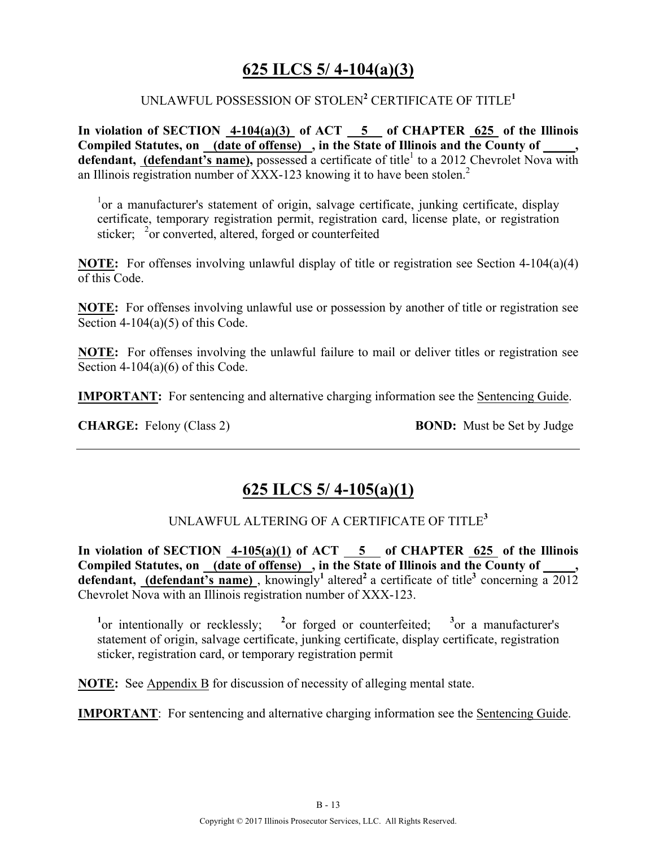### **625 ILCS 5/ 4-104(a)(3)**

#### UNLAWFUL POSSESSION OF STOLEN**<sup>2</sup>** CERTIFICATE OF TITLE**<sup>1</sup>**

**In violation of SECTION 4-104(a)(3) of ACT 5 of CHAPTER 625 of the Illinois**  Compiled Statutes, on (date of offense), in the State of Illinois and the County of **defendant, (defendant's name),** possessed a certificate of title<sup>1</sup> to a 2012 Chevrolet Nova with an Illinois registration number of XXX-123 knowing it to have been stolen.<sup>2</sup>

<sup>1</sup>or a manufacturer's statement of origin, salvage certificate, junking certificate, display certificate, temporary registration permit, registration card, license plate, or registration sticker; <sup>2</sup> or converted, altered, forged or counterfeited

**NOTE:** For offenses involving unlawful display of title or registration see Section 4-104(a)(4) of this Code.

**NOTE:** For offenses involving unlawful use or possession by another of title or registration see Section 4-104(a)(5) of this Code.

**NOTE:** For offenses involving the unlawful failure to mail or deliver titles or registration see Section  $4-104(a)(6)$  of this Code.

**IMPORTANT:** For sentencing and alternative charging information see the Sentencing Guide.

**CHARGE:** Felony (Class 2) **BOND:** Must be Set by Judge

### **625 ILCS 5/ 4-105(a)(1)**

#### UNLAWFUL ALTERING OF A CERTIFICATE OF TITLE**<sup>3</sup>**

**In violation of SECTION 4-105(a)(1) of ACT 5 of CHAPTER 625 of the Illinois**  Compiled Statutes, on (date of offense), in the State of Illinois and the County of **defendant, (defendant's name)**, knowingly<sup>1</sup> altered<sup>2</sup> a certificate of title<sup>3</sup> concerning  $\overline{a}$  2012 Chevrolet Nova with an Illinois registration number of XXX-123.

<sup>1</sup><sup>or</sup> intentionally or recklessly; <sup>2</sup><sup>or</sup> forged or counterfeited; <sup>3</sup><sup>or</sup> a manufacturer's statement of origin, salvage certificate, junking certificate, display certificate, registration sticker, registration card, or temporary registration permit

**NOTE:** See Appendix B for discussion of necessity of alleging mental state.

**IMPORTANT**: For sentencing and alternative charging information see the Sentencing Guide.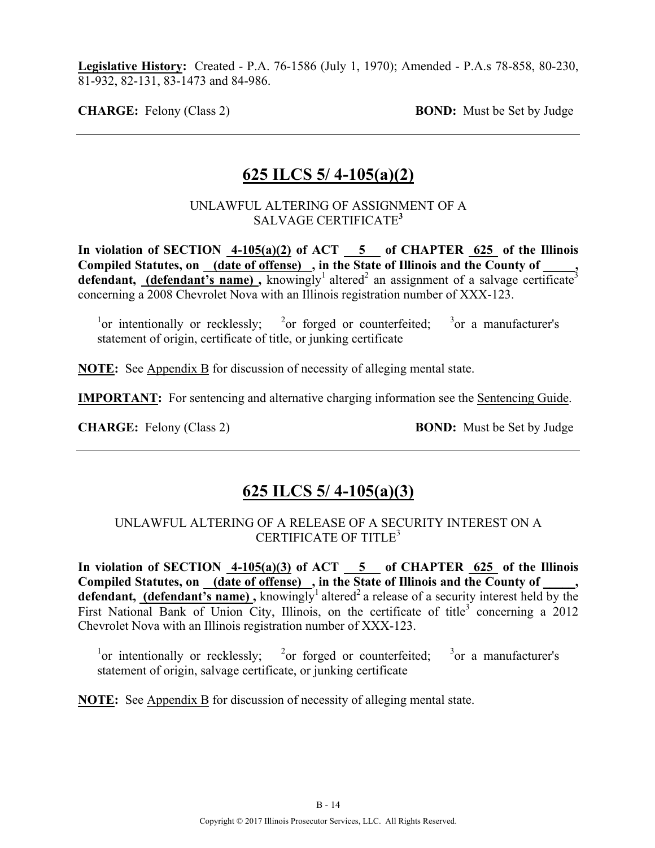**Legislative History:** Created - P.A. 76-1586 (July 1, 1970); Amended - P.A.s 78-858, 80-230, 81-932, 82-131, 83-1473 and 84-986.

**CHARGE:** Felony (Class 2) **BOND:** Must be Set by Judge

### **625 ILCS 5/ 4-105(a)(2)**

#### UNLAWFUL ALTERING OF ASSIGNMENT OF A SALVAGE CERTIFICATE**<sup>3</sup>**

In violation of SECTION  $4-105(a)(2)$  of ACT  $-5$  of CHAPTER 625 of the Illinois **Compiled Statutes, on (date of offense) , in the State of Illinois and the County of \_\_\_\_\_, defendant, (defendant's name)**, knowingly<sup>1</sup> altered<sup>2</sup> an assignment of a salvage certificate<sup>3</sup> concerning a 2008 Chevrolet Nova with an Illinois registration number of XXX-123.

 $\frac{1}{2}$  or intentionally or recklessly;  $\frac{2}{2}$ or forged or counterfeited;  $3$  or a manufacturer's statement of origin, certificate of title, or junking certificate

**NOTE:** See Appendix B for discussion of necessity of alleging mental state.

**IMPORTANT:** For sentencing and alternative charging information see the Sentencing Guide.

**CHARGE:** Felony (Class 2) **BOND:** Must be Set by Judge

### **625 ILCS 5/ 4-105(a)(3)**

#### UNLAWFUL ALTERING OF A RELEASE OF A SECURITY INTEREST ON A CERTIFICATE OF TITLE<sup>3</sup>

In violation of SECTION  $\frac{4-105(a)(3)}{6}$  of ACT 5 of CHAPTER 625 of the Illinois **Compiled Statutes, on (date of offense) , in the State of Illinois and the County of \_\_\_\_\_,**  defendant, (defendant's name), knowingly<sup>1</sup> altered<sup>2</sup> a release of a security interest held by the First National Bank of Union City, Illinois, on the certificate of title<sup>3</sup> concerning a 2012 Chevrolet Nova with an Illinois registration number of XXX-123.

 $\frac{1}{2}$  or intentionally or recklessly;  $\frac{2}{2}$ or forged or counterfeited;  $3$  or a manufacturer's statement of origin, salvage certificate, or junking certificate

**NOTE:** See Appendix B for discussion of necessity of alleging mental state.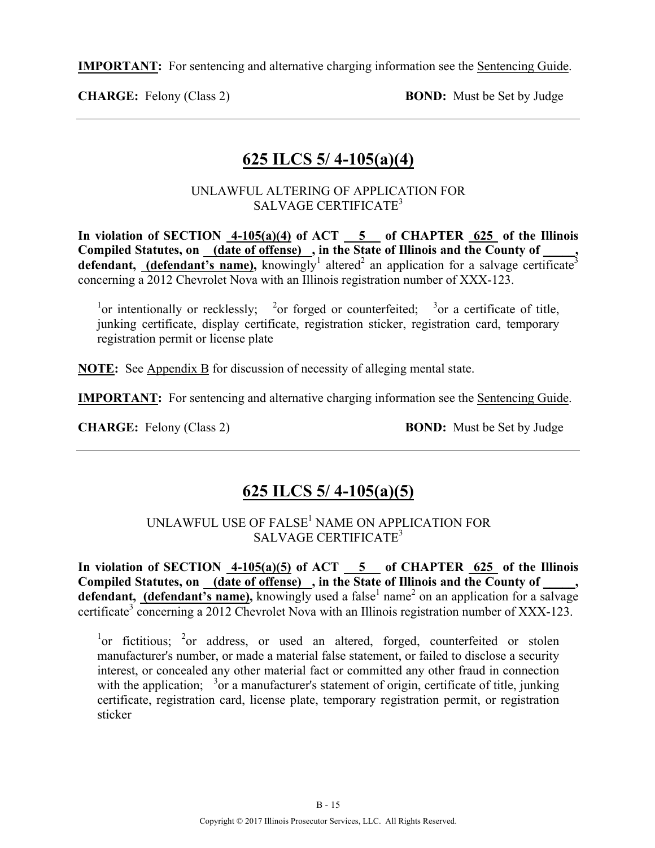**CHARGE:** Felony (Class 2) **BOND:** Must be Set by Judge

### **625 ILCS 5/ 4-105(a)(4)**

UNLAWFUL ALTERING OF APPLICATION FOR SALVAGE CERTIFICATE<sup>3</sup>

**In violation of SECTION 4-105(a)(4) of ACT 5 of CHAPTER 625 of the Illinois Compiled Statutes, on (date of offense) , in the State of Illinois and the County of \_\_\_\_\_, defendant, (defendant's name),** knowingly<sup>1</sup> altered<sup>2</sup> an application for a salvage certificate<sup>3</sup> concerning a 2012 Chevrolet Nova with an Illinois registration number of XXX-123.

<sup>1</sup>or intentionally or recklessly; <sup>2</sup>or forged or counterfeited; <sup>3</sup>or a certificate of title, junking certificate, display certificate, registration sticker, registration card, temporary registration permit or license plate

**NOTE:** See Appendix B for discussion of necessity of alleging mental state.

**IMPORTANT:** For sentencing and alternative charging information see the Sentencing Guide.

**CHARGE:** Felony (Class 2) **BOND:** Must be Set by Judge

### **625 ILCS 5/ 4-105(a)(5)**

UNLAWFUL USE OF FALSE<sup>1</sup> NAME ON APPLICATION FOR SALVAGE CERTIFICATE<sup>3</sup>

In violation of SECTION  $\overline{4-105(a)}$  (5) of ACT 5 of CHAPTER 625 of the Illinois Compiled Statutes, on <u>(date of offense)</u>, in the State of Illinois and the County of **defendant, (defendant's name),** knowingly used a false<sup>1</sup> name<sup>2</sup> on an application for a salvage certificate<sup>3</sup> concerning a 2012 Chevrolet Nova with an Illinois registration number of XXX-123.

 $\frac{1}{1}$  or fictitious;  $\frac{2}{1}$  or address, or used an altered, forged, counterfeited or stolen manufacturer's number, or made a material false statement, or failed to disclose a security interest, or concealed any other material fact or committed any other fraud in connection with the application;  $3\sigma$  a manufacturer's statement of origin, certificate of title, junking certificate, registration card, license plate, temporary registration permit, or registration sticker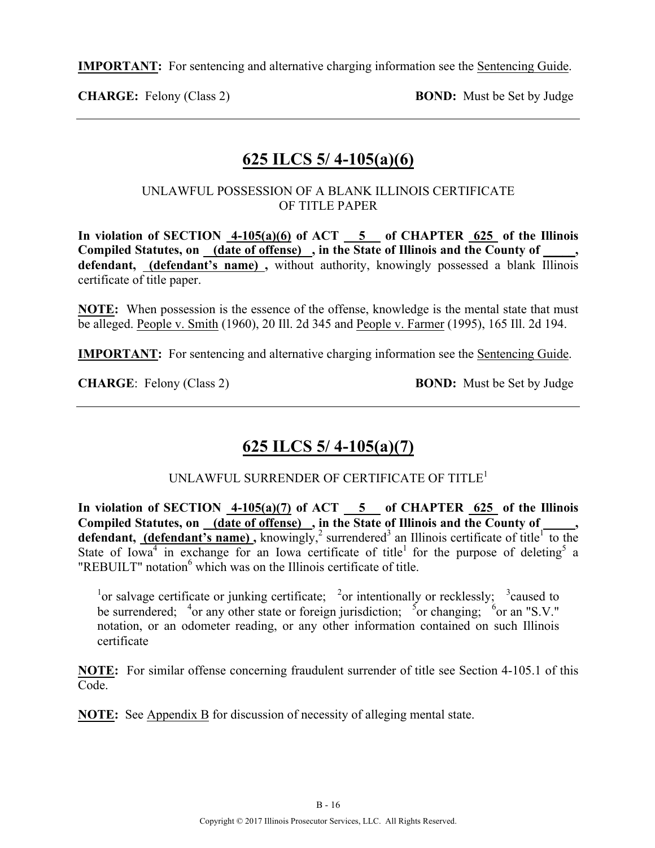**CHARGE:** Felony (Class 2) **BOND:** Must be Set by Judge

### **625 ILCS 5/ 4-105(a)(6)**

#### UNLAWFUL POSSESSION OF A BLANK ILLINOIS CERTIFICATE OF TITLE PAPER

**In violation of SECTION 4-105(a)(6) of ACT 5 of CHAPTER 625 of the Illinois Compiled Statutes, on (date of offense) , in the State of Illinois and the County of \_\_\_\_\_, defendant, (defendant's name) ,** without authority, knowingly possessed a blank Illinois certificate of title paper.

**NOTE:** When possession is the essence of the offense, knowledge is the mental state that must be alleged. People v. Smith (1960), 20 Ill. 2d 345 and People v. Farmer (1995), 165 Ill. 2d 194.

**IMPORTANT:** For sentencing and alternative charging information see the Sentencing Guide.

**CHARGE:** Felony (Class 2) **BOND:** Must be Set by Judge

# **625 ILCS 5/ 4-105(a)(7)**

#### UNLAWFUL SURRENDER OF CERTIFICATE OF TITLE<sup>1</sup>

In violation of SECTION  $4-105(a)(7)$  of ACT  $-5$  of CHAPTER 625 of the Illinois Compiled Statutes, on (date of offense), in the State of Illinois and the County of \_\_\_\_\_, **defendant, (defendant's name)**, knowingly,<sup>2</sup> surrendered<sup>3</sup> an Illinois certificate of title<sup>1</sup> to the State of Iowa<sup>4</sup> in exchange for an Iowa certificate of title<sup>1</sup> for the purpose of deleting<sup>5</sup> a " $REBUILT"$  notation<sup>6</sup> which was on the Illinois certificate of title.

<sup>1</sup> or salvage certificate or junking certificate; <sup>2</sup> or intentionally or recklessly; <sup>3</sup> caused to be surrendered; <sup>4</sup> or any other state or foreign jurisdiction; <sup>5</sup> or changing; <sup>6</sup> or an "S.V." notation, or an odometer reading, or any other information contained on such Illinois certificate

**NOTE:** For similar offense concerning fraudulent surrender of title see Section 4-105.1 of this Code.

**NOTE:** See Appendix B for discussion of necessity of alleging mental state.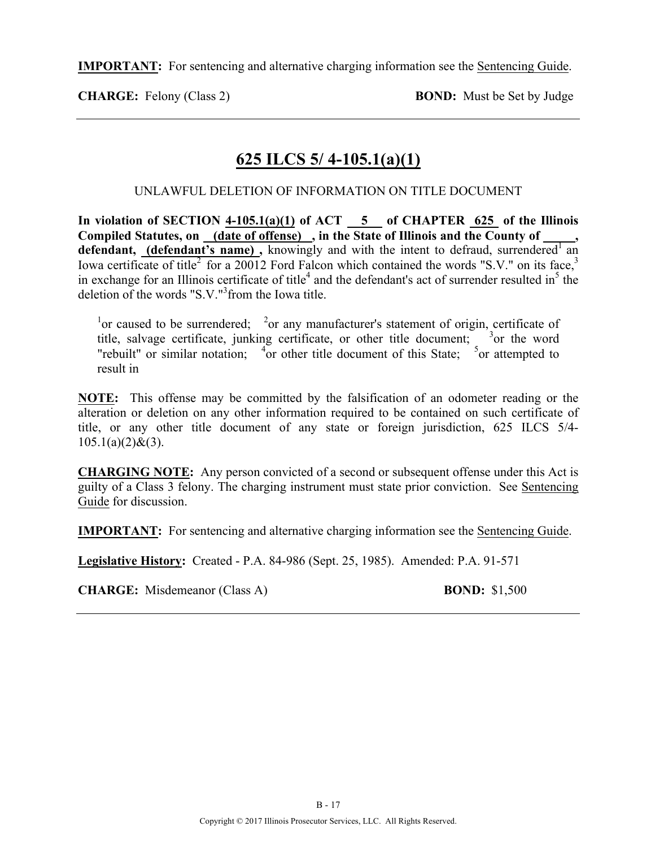**CHARGE:** Felony (Class 2) **BOND:** Must be Set by Judge

# **625 ILCS 5/ 4-105.1(a)(1)**

UNLAWFUL DELETION OF INFORMATION ON TITLE DOCUMENT

In violation of SECTION  $4-105.1(a)(1)$  of ACT  $-5$  of CHAPTER  $625$  of the Illinois **Compiled Statutes, on (date of offense) , in the State of Illinois and the County of \_\_\_\_\_,**  defendant, (defendant's name), knowingly and with the intent to defraud, surrendered an Iowa certificate of title<sup>2</sup> for a 20012 Ford Falcon which contained the words "S.V." on its face,<sup>3</sup> in exchange for an Illinois certificate of title<sup>4</sup> and the defendant's act of surrender resulted in<sup>5</sup> the deletion of the words "S.V."<sup>3</sup> from the Iowa title.

<sup>1</sup> or caused to be surrendered; <sup>2</sup> or any manufacturer's statement of origin, certificate of title, salvage certificate, junking certificate, or other title document;  $3$  or the word "rebuilt" or similar notation;  $\frac{4}{1}$  or other title document of this State;  $\frac{5}{1}$  or attempted to result in

**NOTE:** This offense may be committed by the falsification of an odometer reading or the alteration or deletion on any other information required to be contained on such certificate of title, or any other title document of any state or foreign jurisdiction, 625 ILCS 5/4-  $105.1(a)(2)$ &(3).

**CHARGING NOTE:** Any person convicted of a second or subsequent offense under this Act is guilty of a Class 3 felony. The charging instrument must state prior conviction. See Sentencing Guide for discussion.

**IMPORTANT:** For sentencing and alternative charging information see the Sentencing Guide.

**Legislative History:** Created - P.A. 84-986 (Sept. 25, 1985). Amended: P.A. 91-571

**CHARGE:** Misdemeanor (Class A) **BOND:** \$1,500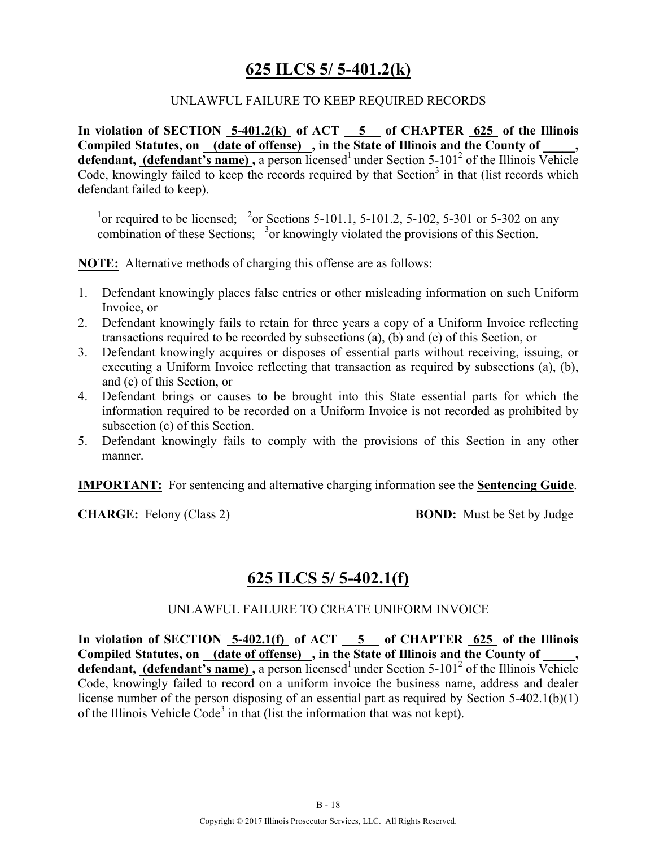### **625 ILCS 5/ 5-401.2(k)**

#### UNLAWFUL FAILURE TO KEEP REQUIRED RECORDS

**In violation of SECTION 5-401.2(k) of ACT 5 of CHAPTER 625 of the Illinois**  Compiled Statutes, on (date of offense), in the State of Illinois and the County of **defendant, (defendant's name),** a person licensed<sup>1</sup> under Section 5-101<sup>2</sup> of the Illinois Vehicle Code, knowingly failed to keep the records required by that  $Section<sup>3</sup>$  in that (list records which defendant failed to keep).

<sup>1</sup> or required to be licensed; <sup>2</sup> or Sections 5-101.1, 5-101.2, 5-102, 5-301 or 5-302 on any combination of these Sections;  $3$  or knowingly violated the provisions of this Section.

**NOTE:** Alternative methods of charging this offense are as follows:

- 1. Defendant knowingly places false entries or other misleading information on such Uniform Invoice, or
- 2. Defendant knowingly fails to retain for three years a copy of a Uniform Invoice reflecting transactions required to be recorded by subsections (a), (b) and (c) of this Section, or
- 3. Defendant knowingly acquires or disposes of essential parts without receiving, issuing, or executing a Uniform Invoice reflecting that transaction as required by subsections (a), (b), and (c) of this Section, or
- 4. Defendant brings or causes to be brought into this State essential parts for which the information required to be recorded on a Uniform Invoice is not recorded as prohibited by subsection (c) of this Section.
- 5. Defendant knowingly fails to comply with the provisions of this Section in any other manner.

**IMPORTANT:** For sentencing and alternative charging information see the **Sentencing Guide**.

**CHARGE:** Felony (Class 2) **BOND:** Must be Set by Judge

### **625 ILCS 5/ 5-402.1(f)**

#### UNLAWFUL FAILURE TO CREATE UNIFORM INVOICE

In violation of SECTION 5-402.1(f) of ACT 5 of CHAPTER 625 of the Illinois Compiled Statutes, on **(date of offense)**, in the State of Illinois and the County of **defendant, (defendant's name)**, a person licensed<sup>1</sup> under Section 5-101<sup>2</sup> of the Illinois Vehicle Code, knowingly failed to record on a uniform invoice the business name, address and dealer license number of the person disposing of an essential part as required by Section 5-402.1(b)(1) of the Illinois Vehicle Code<sup>3</sup> in that (list the information that was not kept).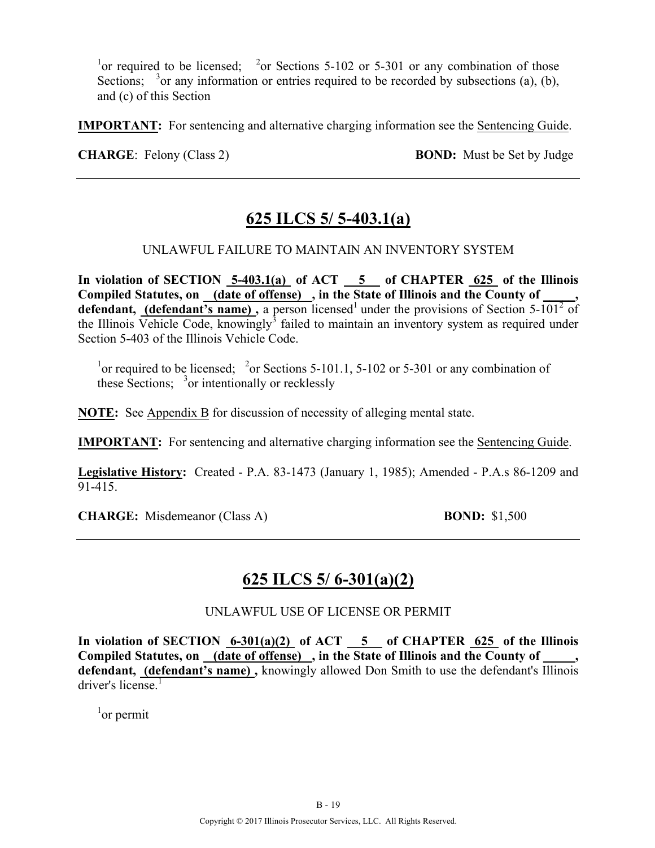<sup>1</sup> or required to be licensed; <sup>2</sup> or Sections 5-102 or 5-301 or any combination of those Sections;  $3$  or any information or entries required to be recorded by subsections (a), (b), and (c) of this Section

**IMPORTANT:** For sentencing and alternative charging information see the Sentencing Guide.

**CHARGE:** Felony (Class 2) **BOND:** Must be Set by Judge

### **625 ILCS 5/ 5-403.1(a)**

#### UNLAWFUL FAILURE TO MAINTAIN AN INVENTORY SYSTEM

In violation of SECTION 5-403.1(a) of ACT 5 of CHAPTER 625 of the Illinois **Compiled Statutes, on (date of offense) , in the State of Illinois and the County of \_\_\_\_\_, defendant, (defendant's name)**, a person licensed<sup>1</sup> under the provisions of Section  $5\text{-}101^2$  of the Illinois Vehicle Code, knowingly<sup>3</sup> failed to maintain an inventory system as required under Section 5-403 of the Illinois Vehicle Code.

<sup>1</sup> or required to be licensed; <sup>2</sup> or Sections 5-101.1, 5-102 or 5-301 or any combination of these Sections;  $3$  or intentionally or recklessly

**NOTE:** See Appendix B for discussion of necessity of alleging mental state.

**IMPORTANT:** For sentencing and alternative charging information see the Sentencing Guide.

**Legislative History:** Created - P.A. 83-1473 (January 1, 1985); Amended - P.A.s 86-1209 and 91-415.

**CHARGE:** Misdemeanor (Class A) **BOND:** \$1,500

### **625 ILCS 5/ 6-301(a)(2)**

UNLAWFUL USE OF LICENSE OR PERMIT

In violation of SECTION  $\frac{6-301(a)(2)}{6}$  of ACT  $\frac{5}{6}$  of CHAPTER  $\frac{625}{625}$  of the Illinois Compiled Statutes, on (date of offense), in the State of Illinois and the County of **defendant, (defendant's name) ,** knowingly allowed Don Smith to use the defendant's Illinois driver's license. $\overline{1}$ 

 $1$ <sup>or</sup> permit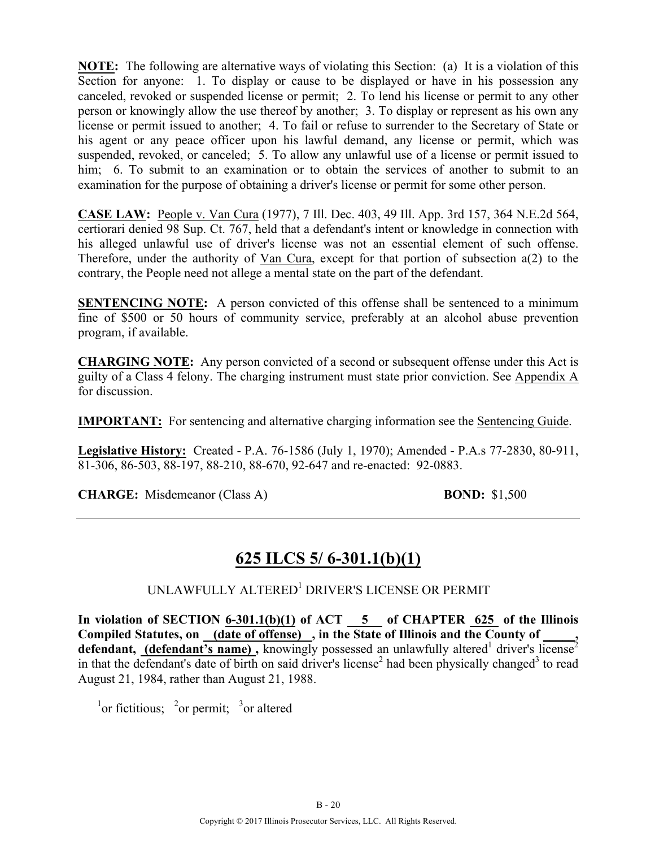**NOTE:** The following are alternative ways of violating this Section: (a) It is a violation of this Section for anyone: 1. To display or cause to be displayed or have in his possession any canceled, revoked or suspended license or permit; 2. To lend his license or permit to any other person or knowingly allow the use thereof by another; 3. To display or represent as his own any license or permit issued to another; 4. To fail or refuse to surrender to the Secretary of State or his agent or any peace officer upon his lawful demand, any license or permit, which was suspended, revoked, or canceled; 5. To allow any unlawful use of a license or permit issued to him; 6. To submit to an examination or to obtain the services of another to submit to an examination for the purpose of obtaining a driver's license or permit for some other person.

**CASE LAW:** People v. Van Cura (1977), 7 Ill. Dec. 403, 49 Ill. App. 3rd 157, 364 N.E.2d 564, certiorari denied 98 Sup. Ct. 767, held that a defendant's intent or knowledge in connection with his alleged unlawful use of driver's license was not an essential element of such offense. Therefore, under the authority of Van Cura, except for that portion of subsection a(2) to the contrary, the People need not allege a mental state on the part of the defendant.

**SENTENCING NOTE:** A person convicted of this offense shall be sentenced to a minimum fine of \$500 or 50 hours of community service, preferably at an alcohol abuse prevention program, if available.

**CHARGING NOTE:** Any person convicted of a second or subsequent offense under this Act is guilty of a Class 4 felony. The charging instrument must state prior conviction. See Appendix A for discussion.

**IMPORTANT:** For sentencing and alternative charging information see the Sentencing Guide.

**Legislative History:** Created - P.A. 76-1586 (July 1, 1970); Amended - P.A.s 77-2830, 80-911, 81-306, 86-503, 88-197, 88-210, 88-670, 92-647 and re-enacted: 92-0883.

**CHARGE:** Misdemeanor (Class A) **BOND:** \$1,500

### **625 ILCS 5/ 6-301.1(b)(1)**

#### UNLAWFULLY ALTERED<sup>1</sup> DRIVER'S LICENSE OR PERMIT

In violation of SECTION  $6-301.1(b)(1)$  of ACT  $-5$  of CHAPTER 625 of the Illinois **Compiled Statutes, on (date of offense) , in the State of Illinois and the County of \_\_\_\_\_,**  defendant, (defendant's name), knowingly possessed an unlawfully altered<sup>1</sup> driver's license<sup>2</sup> in that the defendant's date of birth on said driver's license<sup>2</sup> had been physically changed<sup>3</sup> to read August 21, 1984, rather than August 21, 1988.

<sup>1</sup>or fictitious; <sup>2</sup>or permit; <sup>3</sup>or altered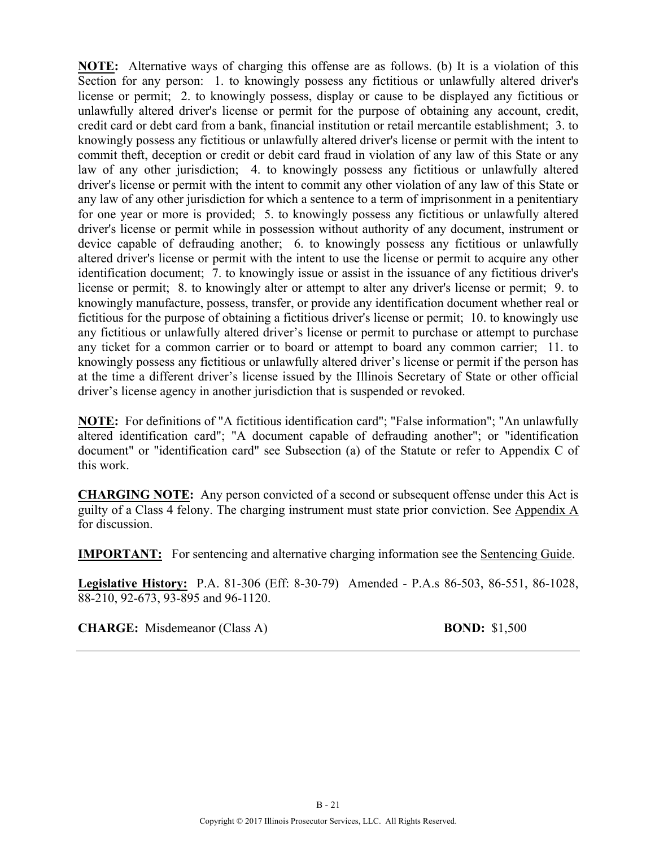**NOTE:** Alternative ways of charging this offense are as follows. (b) It is a violation of this Section for any person: 1. to knowingly possess any fictitious or unlawfully altered driver's license or permit; 2. to knowingly possess, display or cause to be displayed any fictitious or unlawfully altered driver's license or permit for the purpose of obtaining any account, credit, credit card or debt card from a bank, financial institution or retail mercantile establishment; 3. to knowingly possess any fictitious or unlawfully altered driver's license or permit with the intent to commit theft, deception or credit or debit card fraud in violation of any law of this State or any law of any other jurisdiction; 4. to knowingly possess any fictitious or unlawfully altered driver's license or permit with the intent to commit any other violation of any law of this State or any law of any other jurisdiction for which a sentence to a term of imprisonment in a penitentiary for one year or more is provided; 5. to knowingly possess any fictitious or unlawfully altered driver's license or permit while in possession without authority of any document, instrument or device capable of defrauding another; 6. to knowingly possess any fictitious or unlawfully altered driver's license or permit with the intent to use the license or permit to acquire any other identification document; 7. to knowingly issue or assist in the issuance of any fictitious driver's license or permit; 8. to knowingly alter or attempt to alter any driver's license or permit; 9. to knowingly manufacture, possess, transfer, or provide any identification document whether real or fictitious for the purpose of obtaining a fictitious driver's license or permit; 10. to knowingly use any fictitious or unlawfully altered driver's license or permit to purchase or attempt to purchase any ticket for a common carrier or to board or attempt to board any common carrier; 11. to knowingly possess any fictitious or unlawfully altered driver's license or permit if the person has at the time a different driver's license issued by the Illinois Secretary of State or other official driver's license agency in another jurisdiction that is suspended or revoked.

**NOTE:** For definitions of "A fictitious identification card"; "False information"; "An unlawfully altered identification card"; "A document capable of defrauding another"; or "identification document" or "identification card" see Subsection (a) of the Statute or refer to Appendix C of this work.

**CHARGING NOTE:** Any person convicted of a second or subsequent offense under this Act is guilty of a Class 4 felony. The charging instrument must state prior conviction. See Appendix A for discussion.

**IMPORTANT:** For sentencing and alternative charging information see the Sentencing Guide.

**Legislative History:** P.A. 81-306 (Eff: 8-30-79) Amended - P.A.s 86-503, 86-551, 86-1028, 88-210, 92-673, 93-895 and 96-1120.

**CHARGE:** Misdemeanor (Class A) **BOND:** \$1,500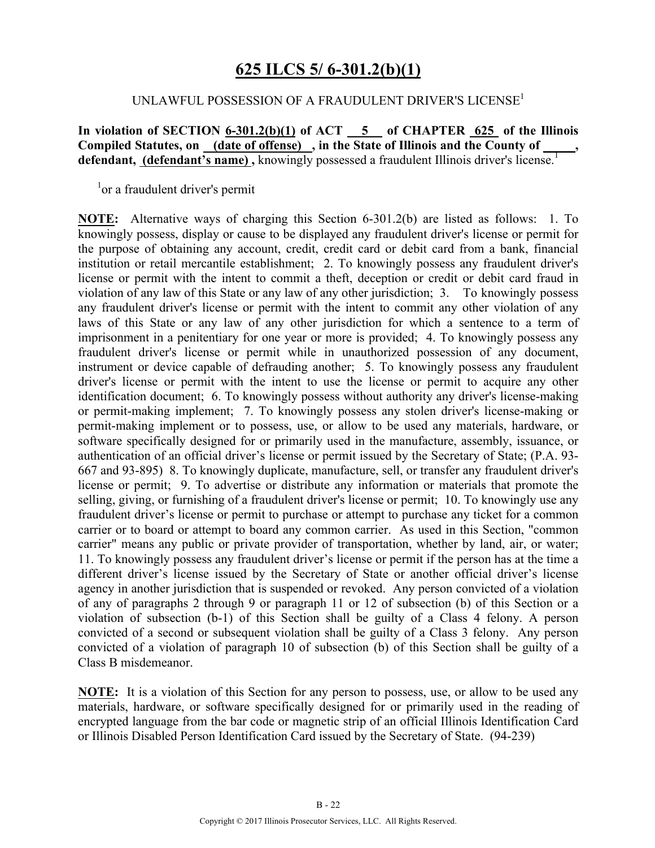### **625 ILCS 5/ 6-301.2(b)(1)**

#### UNLAWFUL POSSESSION OF A FRAUDULENT DRIVER'S LICENSE<sup>1</sup>

**In violation of SECTION 6-301.2(b)(1) of ACT 5 of CHAPTER 625 of the Illinois**  Compiled Statutes, on **(date of offense)**, in the State of Illinois and the County of defendant, (defendant's name), knowingly possessed a fraudulent Illinois driver's license.<sup>1</sup>

<sup>1</sup>or a fraudulent driver's permit

**NOTE:** Alternative ways of charging this Section 6-301.2(b) are listed as follows: 1. To knowingly possess, display or cause to be displayed any fraudulent driver's license or permit for the purpose of obtaining any account, credit, credit card or debit card from a bank, financial institution or retail mercantile establishment; 2. To knowingly possess any fraudulent driver's license or permit with the intent to commit a theft, deception or credit or debit card fraud in violation of any law of this State or any law of any other jurisdiction; 3. To knowingly possess any fraudulent driver's license or permit with the intent to commit any other violation of any laws of this State or any law of any other jurisdiction for which a sentence to a term of imprisonment in a penitentiary for one year or more is provided; 4. To knowingly possess any fraudulent driver's license or permit while in unauthorized possession of any document, instrument or device capable of defrauding another; 5. To knowingly possess any fraudulent driver's license or permit with the intent to use the license or permit to acquire any other identification document; 6. To knowingly possess without authority any driver's license-making or permit-making implement; 7. To knowingly possess any stolen driver's license-making or permit-making implement or to possess, use, or allow to be used any materials, hardware, or software specifically designed for or primarily used in the manufacture, assembly, issuance, or authentication of an official driver's license or permit issued by the Secretary of State; (P.A. 93- 667 and 93-895) 8. To knowingly duplicate, manufacture, sell, or transfer any fraudulent driver's license or permit; 9. To advertise or distribute any information or materials that promote the selling, giving, or furnishing of a fraudulent driver's license or permit; 10. To knowingly use any fraudulent driver's license or permit to purchase or attempt to purchase any ticket for a common carrier or to board or attempt to board any common carrier. As used in this Section, "common carrier" means any public or private provider of transportation, whether by land, air, or water; 11. To knowingly possess any fraudulent driver's license or permit if the person has at the time a different driver's license issued by the Secretary of State or another official driver's license agency in another jurisdiction that is suspended or revoked. Any person convicted of a violation of any of paragraphs 2 through 9 or paragraph 11 or 12 of subsection (b) of this Section or a violation of subsection (b-1) of this Section shall be guilty of a Class 4 felony. A person convicted of a second or subsequent violation shall be guilty of a Class 3 felony. Any person convicted of a violation of paragraph 10 of subsection (b) of this Section shall be guilty of a Class B misdemeanor.

**NOTE:** It is a violation of this Section for any person to possess, use, or allow to be used any materials, hardware, or software specifically designed for or primarily used in the reading of encrypted language from the bar code or magnetic strip of an official Illinois Identification Card or Illinois Disabled Person Identification Card issued by the Secretary of State. (94-239)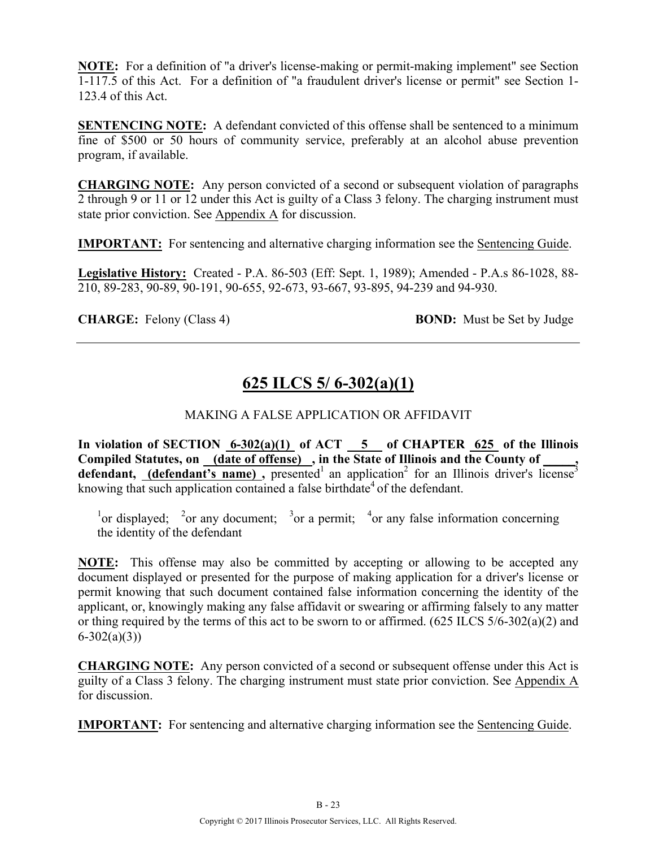**NOTE:** For a definition of "a driver's license-making or permit-making implement" see Section 1-117.5 of this Act. For a definition of "a fraudulent driver's license or permit" see Section 1- 123.4 of this Act.

**SENTENCING NOTE:** A defendant convicted of this offense shall be sentenced to a minimum fine of \$500 or 50 hours of community service, preferably at an alcohol abuse prevention program, if available.

**CHARGING NOTE:** Any person convicted of a second or subsequent violation of paragraphs 2 through 9 or 11 or 12 under this Act is guilty of a Class 3 felony. The charging instrument must state prior conviction. See Appendix A for discussion.

**IMPORTANT:** For sentencing and alternative charging information see the Sentencing Guide.

**Legislative History:** Created - P.A. 86-503 (Eff: Sept. 1, 1989); Amended - P.A.s 86-1028, 88- 210, 89-283, 90-89, 90-191, 90-655, 92-673, 93-667, 93-895, 94-239 and 94-930.

**CHARGE:** Felony (Class 4) **BOND:** Must be Set by Judge

### **625 ILCS 5/ 6-302(a)(1)**

#### MAKING A FALSE APPLICATION OR AFFIDAVIT

**In violation of SECTION 6-302(a)(1) of ACT 5 of CHAPTER 625 of the Illinois Compiled Statutes, on (date of offense) , in the State of Illinois and the County of \_\_\_\_\_,**  defendant, **(defendant's name)**, presented<sup>1</sup> an application<sup>2</sup> for an Illinois driver's license<sup>3</sup> knowing that such application contained a false birthdate<sup>4</sup> of the defendant.

<sup>1</sup> or displayed; <sup>2</sup> or any document; <sup>3</sup> or a permit; <sup>4</sup> or any false information concerning the identity of the defendant

**NOTE:** This offense may also be committed by accepting or allowing to be accepted any document displayed or presented for the purpose of making application for a driver's license or permit knowing that such document contained false information concerning the identity of the applicant, or, knowingly making any false affidavit or swearing or affirming falsely to any matter or thing required by the terms of this act to be sworn to or affirmed. (625 ILCS 5/6-302(a)(2) and  $6 - 302(a)(3)$ 

**CHARGING NOTE:** Any person convicted of a second or subsequent offense under this Act is guilty of a Class 3 felony. The charging instrument must state prior conviction. See Appendix A for discussion.

**IMPORTANT:** For sentencing and alternative charging information see the Sentencing Guide.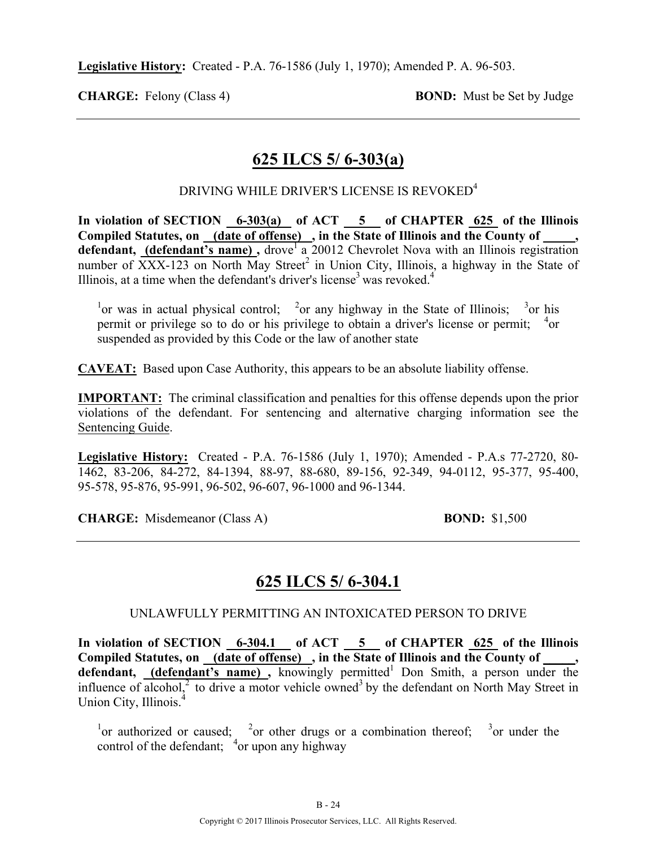**Legislative History:** Created - P.A. 76-1586 (July 1, 1970); Amended P. A. 96-503.

**CHARGE:** Felony (Class 4) **BOND:** Must be Set by Judge

### **625 ILCS 5/ 6-303(a)**

#### DRIVING WHILE DRIVER'S LICENSE IS REVOKED<sup>4</sup>

In violation of SECTION 6-303(a) of ACT 5 of CHAPTER 625 of the Illinois **Compiled Statutes, on (date of offense) , in the State of Illinois and the County of \_\_\_\_\_,**  defendant, (defendant's name), drove<sup>1</sup> a 20012 Chevrolet Nova with an Illinois registration number of  $\overline{XXX}$ -123 on North May Street<sup>2</sup> in Union City, Illinois, a highway in the State of Illinois, at a time when the defendant's driver's license<sup>3</sup> was revoked.<sup>4</sup>

<sup>1</sup> or was in actual physical control; <sup>2</sup> or any highway in the State of Illinois; <sup>3</sup> or his permit or privilege so to do or his privilege to obtain a driver's license or permit; <sup>4</sup>or suspended as provided by this Code or the law of another state

**CAVEAT:** Based upon Case Authority, this appears to be an absolute liability offense.

**IMPORTANT:** The criminal classification and penalties for this offense depends upon the prior violations of the defendant. For sentencing and alternative charging information see the Sentencing Guide.

**Legislative History:** Created - P.A. 76-1586 (July 1, 1970); Amended - P.A.s 77-2720, 80- 1462, 83-206, 84-272, 84-1394, 88-97, 88-680, 89-156, 92-349, 94-0112, 95-377, 95-400, 95-578, 95-876, 95-991, 96-502, 96-607, 96-1000 and 96-1344.

**CHARGE:** Misdemeanor (Class A) **BOND:** \$1,500

### **625 ILCS 5/ 6-304.1**

#### UNLAWFULLY PERMITTING AN INTOXICATED PERSON TO DRIVE

In violation of SECTION 6-304.1 of ACT 5 of CHAPTER 625 of the Illinois Compiled Statutes, on (date of offense), in the State of Illinois and the County of \_\_\_\_, defendant, (defendant's name), knowingly permitted<sup>1</sup> Don Smith, a person under the influence of alcohol, $\frac{2}{3}$  to drive a motor vehicle owned<sup>3</sup> by the defendant on North May Street in Union City, Illinois.<sup>4</sup>

<sup>1</sup>or authorized or caused; <sup>2</sup>or other drugs or a combination thereof; <sup>3</sup>or under the control of the defendant; <sup>4</sup> or upon any highway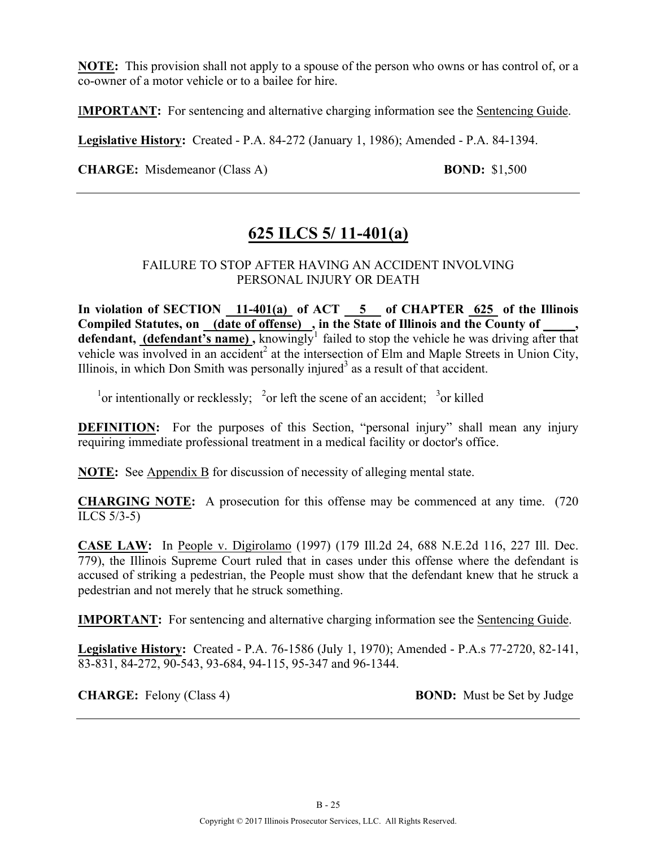**NOTE:** This provision shall not apply to a spouse of the person who owns or has control of, or a co-owner of a motor vehicle or to a bailee for hire.

I**MPORTANT:** For sentencing and alternative charging information see the Sentencing Guide.

**Legislative History:** Created - P.A. 84-272 (January 1, 1986); Amended - P.A. 84-1394.

**CHARGE:** Misdemeanor (Class A) **BOND:** \$1,500

### **625 ILCS 5/ 11-401(a)**

#### FAILURE TO STOP AFTER HAVING AN ACCIDENT INVOLVING PERSONAL INJURY OR DEATH

**In violation of SECTION 11-401(a) of ACT 5 of CHAPTER 625 of the Illinois**  Compiled Statutes, on (date of offense), in the State of Illinois and the County of defendant, (defendant's name), knowingly<sup>1</sup> failed to stop the vehicle he was driving after that vehicle was involved in an accident<sup>2</sup> at the intersection of Elm and Maple Streets in Union City, Illinois, in which Don Smith was personally injured<sup>3</sup> as a result of that accident.

<sup>1</sup> or intentionally or recklessly; <sup>2</sup> or left the scene of an accident; <sup>3</sup> or killed

**DEFINITION:** For the purposes of this Section, "personal injury" shall mean any injury requiring immediate professional treatment in a medical facility or doctor's office.

**NOTE:** See Appendix B for discussion of necessity of alleging mental state.

**CHARGING NOTE:** A prosecution for this offense may be commenced at any time. (720 ILCS 5/3-5)

**CASE LAW:** In People v. Digirolamo (1997) (179 Ill.2d 24, 688 N.E.2d 116, 227 Ill. Dec. 779), the Illinois Supreme Court ruled that in cases under this offense where the defendant is accused of striking a pedestrian, the People must show that the defendant knew that he struck a pedestrian and not merely that he struck something.

**IMPORTANT:** For sentencing and alternative charging information see the Sentencing Guide.

**Legislative History:** Created - P.A. 76-1586 (July 1, 1970); Amended - P.A.s 77-2720, 82-141, 83-831, 84-272, 90-543, 93-684, 94-115, 95-347 and 96-1344.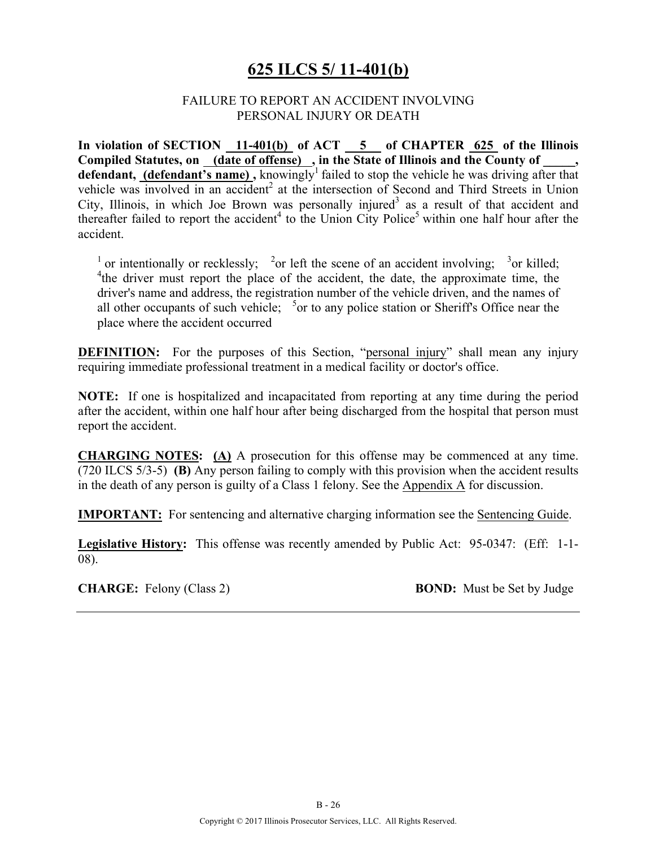### **625 ILCS 5/ 11-401(b)**

#### FAILURE TO REPORT AN ACCIDENT INVOLVING PERSONAL INJURY OR DEATH

**In violation of SECTION 11-401(b) of ACT 5 of CHAPTER 625 of the Illinois**  Compiled Statutes, on (date of offense), in the State of Illinois and the County of, defendant, (defendant's name), knowingly<sup>1</sup> failed to stop the vehicle he was driving after that vehicle was involved in an accident<sup>2</sup> at the intersection of Second and Third Streets in Union City, Illinois, in which Joe Brown was personally injured<sup>3</sup> as a result of that accident and thereafter failed to report the accident<sup>4</sup> to the Union City Police<sup>5</sup> within one half hour after the accident.

<sup>1</sup> or intentionally or recklessly; <sup>2</sup> or left the scene of an accident involving; <sup>3</sup> or killed; <sup>4</sup>the driver must report the place of the accident, the date, the approximate time, the driver's name and address, the registration number of the vehicle driven, and the names of all other occupants of such vehicle;  $5$  or to any police station or Sheriff's Office near the place where the accident occurred

**DEFINITION:** For the purposes of this Section, "personal injury" shall mean any injury requiring immediate professional treatment in a medical facility or doctor's office.

**NOTE:** If one is hospitalized and incapacitated from reporting at any time during the period after the accident, within one half hour after being discharged from the hospital that person must report the accident.

**CHARGING NOTES: (A)** A prosecution for this offense may be commenced at any time. (720 ILCS 5/3-5) **(B)** Any person failing to comply with this provision when the accident results in the death of any person is guilty of a Class 1 felony. See the Appendix A for discussion.

**IMPORTANT:** For sentencing and alternative charging information see the Sentencing Guide.

**Legislative History:** This offense was recently amended by Public Act: 95-0347: (Eff: 1-1- 08).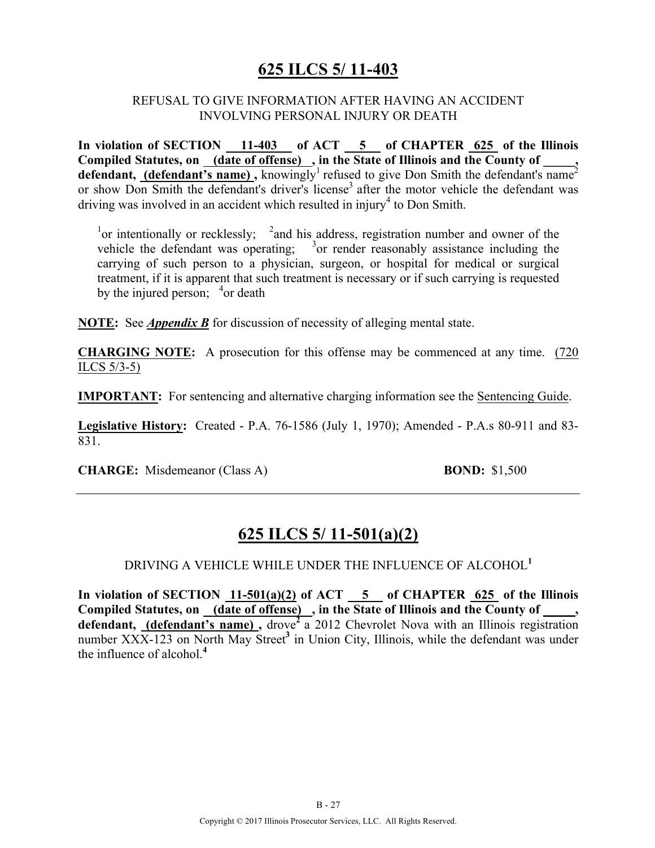### **625 ILCS 5/ 11-403**

#### REFUSAL TO GIVE INFORMATION AFTER HAVING AN ACCIDENT INVOLVING PERSONAL INJURY OR DEATH

In violation of SECTION 11-403 of ACT 5 of CHAPTER 625 of the Illinois Compiled Statutes, on <u>(date of offense)</u>, in the State of Illinois and the County of \_\_\_\_\_, **defendant, (defendant's name)**, knowingly<sup>1</sup> refused to give Don Smith the defendant's name<sup>2</sup> or show Don Smith the defendant's driver's license<sup>3</sup> after the motor vehicle the defendant was driving was involved in an accident which resulted in injury<sup>4</sup> to Don Smith.

<sup>1</sup>or intentionally or recklessly;  $\frac{2}{3}$  and his address, registration number and owner of the vehicle the defendant was operating;  $3$  or render reasonably assistance including the carrying of such person to a physician, surgeon, or hospital for medical or surgical treatment, if it is apparent that such treatment is necessary or if such carrying is requested by the injured person;  $4$ or death

**NOTE:** See *Appendix B* for discussion of necessity of alleging mental state.

**CHARGING NOTE:** A prosecution for this offense may be commenced at any time. (720 ILCS 5/3-5)

**IMPORTANT:** For sentencing and alternative charging information see the Sentencing Guide.

**Legislative History:** Created - P.A. 76-1586 (July 1, 1970); Amended - P.A.s 80-911 and 83- 831.

**CHARGE:** Misdemeanor (Class A) **BOND:** \$1,500

### **625 ILCS 5/ 11-501(a)(2)**

#### DRIVING A VEHICLE WHILE UNDER THE INFLUENCE OF ALCOHOL**<sup>1</sup>**

**In violation of SECTION 11-501(a)(2) of ACT 5 of CHAPTER 625 of the Illinois**  Compiled Statutes, on <u>(date of offense)</u>, in the State of Illinois and the County of, defendant, (defendant's name), drove<sup>2</sup> a 2012 Chevrolet Nova with an Illinois registration number XXX-123 on North May Street**<sup>3</sup>** in Union City, Illinois, while the defendant was under the influence of alcohol.**<sup>4</sup>**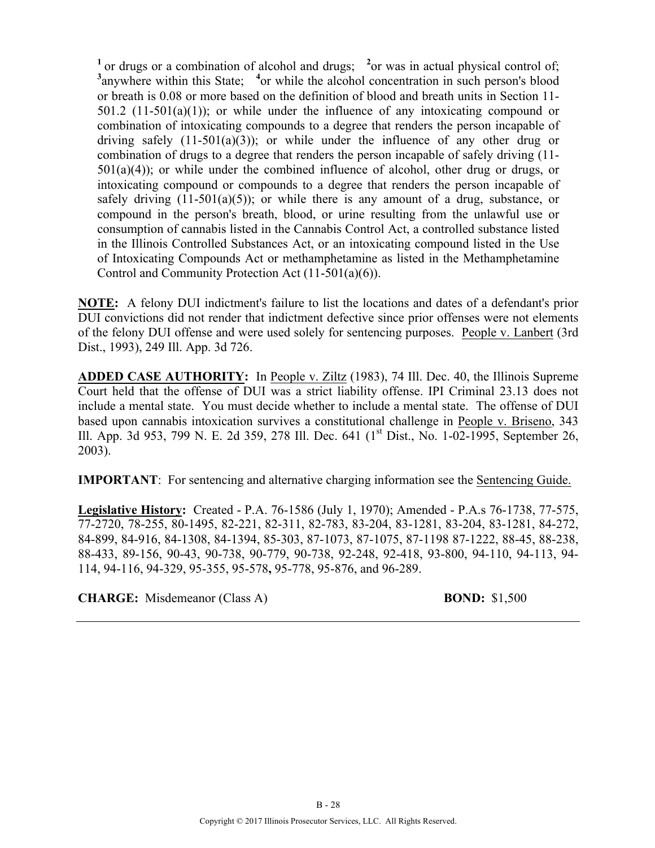<sup>1</sup> or drugs or a combination of alcohol and drugs; <sup>2</sup> or was in actual physical control of; <sup>3</sup> anywhere within this State; <sup>4</sup> or while the alcohol concentration in such person's blood or breath is 0.08 or more based on the definition of blood and breath units in Section 11- 501.2 (11-501(a)(1)); or while under the influence of any intoxicating compound or combination of intoxicating compounds to a degree that renders the person incapable of driving safely  $(11-501(a)(3))$ ; or while under the influence of any other drug or combination of drugs to a degree that renders the person incapable of safely driving (11-  $501(a)(4)$ ; or while under the combined influence of alcohol, other drug or drugs, or intoxicating compound or compounds to a degree that renders the person incapable of safely driving  $(11-501(a)(5))$ ; or while there is any amount of a drug, substance, or compound in the person's breath, blood, or urine resulting from the unlawful use or consumption of cannabis listed in the Cannabis Control Act, a controlled substance listed in the Illinois Controlled Substances Act, or an intoxicating compound listed in the Use of Intoxicating Compounds Act or methamphetamine as listed in the Methamphetamine Control and Community Protection Act (11-501(a)(6)).

**NOTE:** A felony DUI indictment's failure to list the locations and dates of a defendant's prior DUI convictions did not render that indictment defective since prior offenses were not elements of the felony DUI offense and were used solely for sentencing purposes. People v. Lanbert (3rd Dist., 1993), 249 Ill. App. 3d 726.

**ADDED CASE AUTHORITY:** In People v. Ziltz (1983), 74 Ill. Dec. 40, the Illinois Supreme Court held that the offense of DUI was a strict liability offense. IPI Criminal 23.13 does not include a mental state. You must decide whether to include a mental state. The offense of DUI based upon cannabis intoxication survives a constitutional challenge in People v. Briseno, 343 Ill. App. 3d 953, 799 N. E. 2d 359, 278 Ill. Dec. 641 (1<sup>st</sup> Dist., No. 1-02-1995, September 26, 2003).

**IMPORTANT**: For sentencing and alternative charging information see the Sentencing Guide.

**Legislative History:** Created - P.A. 76-1586 (July 1, 1970); Amended - P.A.s 76-1738, 77-575, 77-2720, 78-255, 80-1495, 82-221, 82-311, 82-783, 83-204, 83-1281, 83-204, 83-1281, 84-272, 84-899, 84-916, 84-1308, 84-1394, 85-303, 87-1073, 87-1075, 87-1198 87-1222, 88-45, 88-238, 88-433, 89-156, 90-43, 90-738, 90-779, 90-738, 92-248, 92-418, 93-800, 94-110, 94-113, 94- 114, 94-116, 94-329, 95-355, 95-578**,** 95-778, 95-876, and 96-289.

**CHARGE:** Misdemeanor (Class A) **BOND:** \$1,500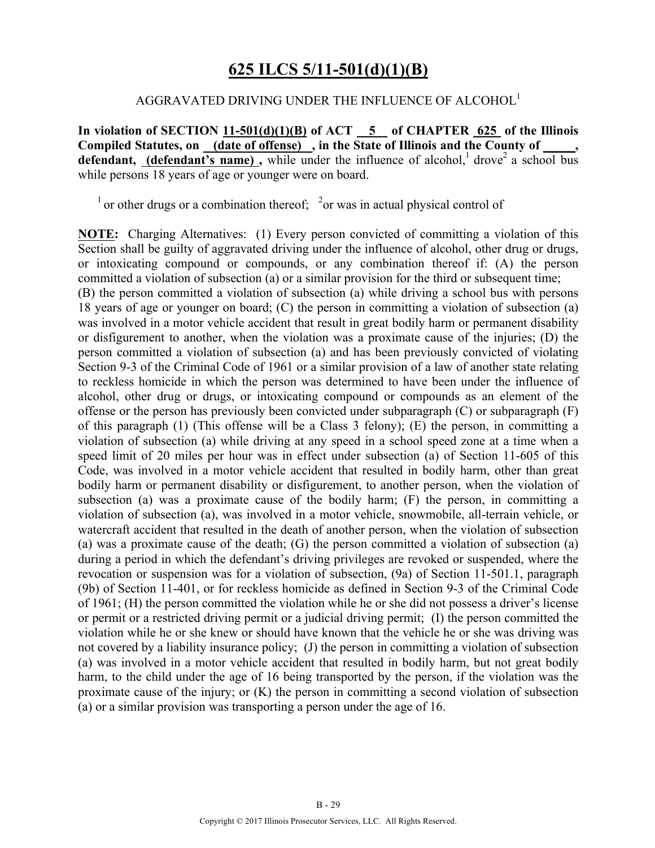### **625 ILCS 5/11-501(d)(1)(B)**

#### AGGRAVATED DRIVING UNDER THE INFLUENCE OF ALCOHOL<sup>1</sup>

**In violation of SECTION 11-501(d)(1)(B) of ACT 5 of CHAPTER 625 of the Illinois Compiled Statutes, on (date of offense) , in the State of Illinois and the County of \_\_\_\_\_, defendant, (defendant's name),** while under the influence of alcohol,<sup>1</sup> drove<sup>2</sup> a school bus while persons 18 years of age or younger were on board.

<sup>1</sup> or other drugs or a combination thereof;  $\frac{2}{x}$  or was in actual physical control of

**NOTE:** Charging Alternatives: (1) Every person convicted of committing a violation of this Section shall be guilty of aggravated driving under the influence of alcohol, other drug or drugs, or intoxicating compound or compounds, or any combination thereof if: (A) the person committed a violation of subsection (a) or a similar provision for the third or subsequent time; (B) the person committed a violation of subsection (a) while driving a school bus with persons 18 years of age or younger on board; (C) the person in committing a violation of subsection (a) was involved in a motor vehicle accident that result in great bodily harm or permanent disability or disfigurement to another, when the violation was a proximate cause of the injuries; (D) the person committed a violation of subsection (a) and has been previously convicted of violating Section 9-3 of the Criminal Code of 1961 or a similar provision of a law of another state relating to reckless homicide in which the person was determined to have been under the influence of alcohol, other drug or drugs, or intoxicating compound or compounds as an element of the offense or the person has previously been convicted under subparagraph (C) or subparagraph (F) of this paragraph (1) (This offense will be a Class 3 felony); (E) the person, in committing a violation of subsection (a) while driving at any speed in a school speed zone at a time when a speed limit of 20 miles per hour was in effect under subsection (a) of Section 11-605 of this Code, was involved in a motor vehicle accident that resulted in bodily harm, other than great bodily harm or permanent disability or disfigurement, to another person, when the violation of subsection (a) was a proximate cause of the bodily harm; (F) the person, in committing a violation of subsection (a), was involved in a motor vehicle, snowmobile, all-terrain vehicle, or watercraft accident that resulted in the death of another person, when the violation of subsection (a) was a proximate cause of the death; (G) the person committed a violation of subsection (a) during a period in which the defendant's driving privileges are revoked or suspended, where the revocation or suspension was for a violation of subsection, (9a) of Section 11-501.1, paragraph (9b) of Section 11-401, or for reckless homicide as defined in Section 9-3 of the Criminal Code of 1961; (H) the person committed the violation while he or she did not possess a driver's license or permit or a restricted driving permit or a judicial driving permit; (I) the person committed the violation while he or she knew or should have known that the vehicle he or she was driving was not covered by a liability insurance policy; (J) the person in committing a violation of subsection (a) was involved in a motor vehicle accident that resulted in bodily harm, but not great bodily harm, to the child under the age of 16 being transported by the person, if the violation was the proximate cause of the injury; or (K) the person in committing a second violation of subsection (a) or a similar provision was transporting a person under the age of 16.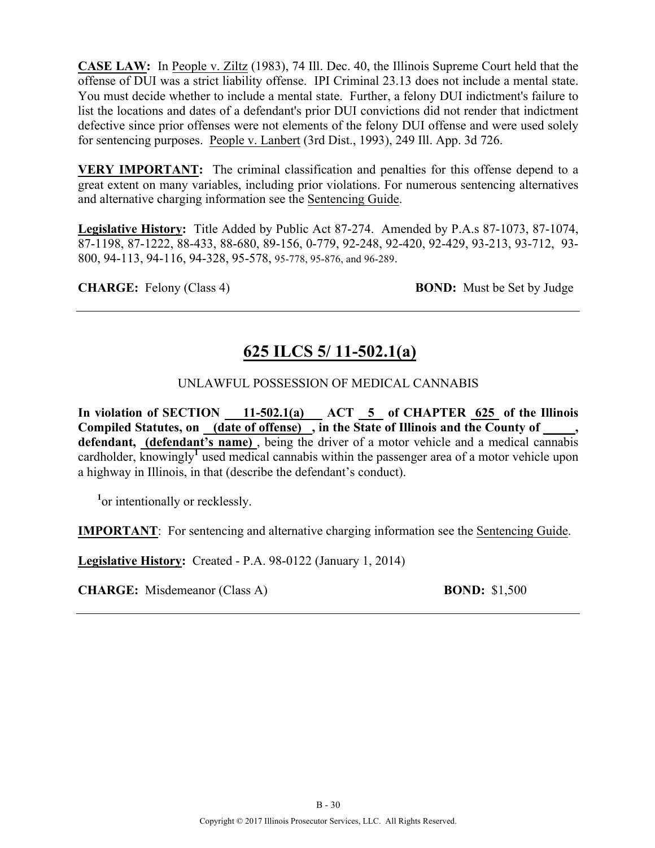**CASE LAW:** In People v. Ziltz (1983), 74 Ill. Dec. 40, the Illinois Supreme Court held that the offense of DUI was a strict liability offense. IPI Criminal 23.13 does not include a mental state. You must decide whether to include a mental state. Further, a felony DUI indictment's failure to list the locations and dates of a defendant's prior DUI convictions did not render that indictment defective since prior offenses were not elements of the felony DUI offense and were used solely for sentencing purposes. People v. Lanbert (3rd Dist., 1993), 249 Ill. App. 3d 726.

**VERY IMPORTANT:** The criminal classification and penalties for this offense depend to a great extent on many variables, including prior violations. For numerous sentencing alternatives and alternative charging information see the Sentencing Guide.

**Legislative History:** Title Added by Public Act 87-274. Amended by P.A.s 87-1073, 87-1074, 87-1198, 87-1222, 88-433, 88-680, 89-156, 0-779, 92-248, 92-420, 92-429, 93-213, 93-712, 93- 800, 94-113, 94-116, 94-328, 95-578, 95-778, 95-876, and 96-289.

**CHARGE:** Felony (Class 4) **BOND:** Must be Set by Judge

### **625 ILCS 5/ 11-502.1(a)**

#### UNLAWFUL POSSESSION OF MEDICAL CANNABIS

In violation of SECTION 11-502.1(a) ACT 5 of CHAPTER 625 of the Illinois Compiled Statutes, on <u>(date of offense)</u>, in the State of Illinois and the County of **defendant, (defendant's name)** , being the driver of a motor vehicle and a medical cannabis cardholder, knowingly**<sup>1</sup>** used medical cannabis within the passenger area of a motor vehicle upon a highway in Illinois, in that (describe the defendant's conduct).

<sup>1</sup> or intentionally or recklessly.

**IMPORTANT**: For sentencing and alternative charging information see the Sentencing Guide.

**Legislative History:** Created - P.A. 98-0122 (January 1, 2014)

**CHARGE:** Misdemeanor (Class A) **BOND:** \$1,500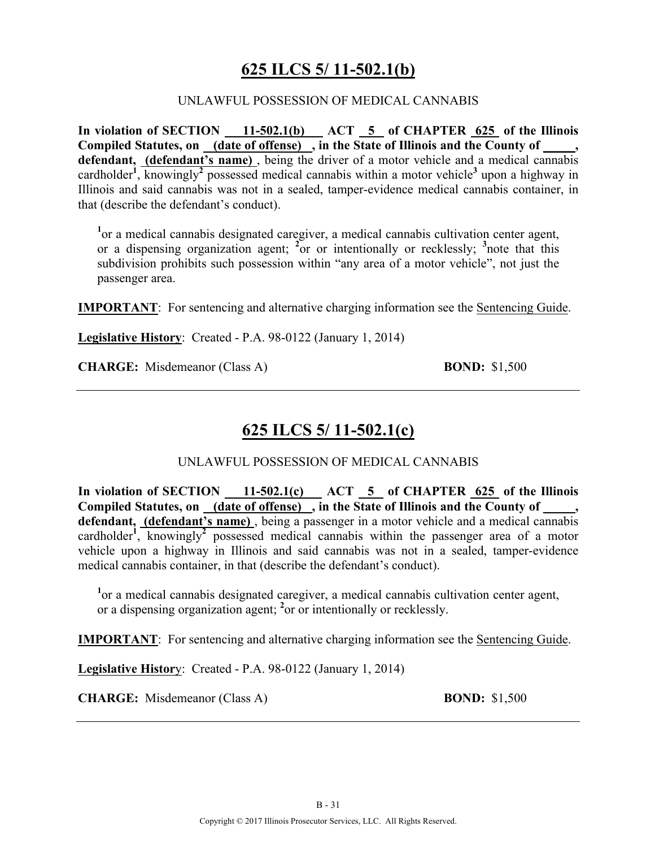### **625 ILCS 5/ 11-502.1(b)**

#### UNLAWFUL POSSESSION OF MEDICAL CANNABIS

In violation of SECTION 11-502.1(b) ACT 5 of CHAPTER 625 of the Illinois Compiled Statutes, on (date of offense), in the State of Illinois and the County of **defendant, (defendant's name)** , being the driver of a motor vehicle and a medical cannabis cardholder**<sup>1</sup>** , knowingly**<sup>2</sup>** possessed medical cannabis within a motor vehicle**<sup>3</sup>** upon a highway in Illinois and said cannabis was not in a sealed, tamper-evidence medical cannabis container, in that (describe the defendant's conduct).

<sup>1</sup> or a medical cannabis designated caregiver, a medical cannabis cultivation center agent, or a dispensing organization agent; **<sup>2</sup>** or or intentionally or recklessly; **<sup>3</sup>** note that this subdivision prohibits such possession within "any area of a motor vehicle", not just the passenger area.

**IMPORTANT**: For sentencing and alternative charging information see the Sentencing Guide.

**Legislative History**: Created - P.A. 98-0122 (January 1, 2014)

**CHARGE:** Misdemeanor (Class A) **BOND:** \$1,500

### **625 ILCS 5/ 11-502.1(c)**

#### UNLAWFUL POSSESSION OF MEDICAL CANNABIS

In violation of SECTION 11-502.1(c) ACT 5 of CHAPTER 625 of the Illinois **Compiled Statutes, on (date of offense) , in the State of Illinois and the County of \_\_\_\_\_,**  defendant, (defendant's name), being a passenger in a motor vehicle and a medical cannabis cardholder<sup>1</sup>, knowingly<sup>2</sup> possessed medical cannabis within the passenger area of a motor vehicle upon a highway in Illinois and said cannabis was not in a sealed, tamper-evidence medical cannabis container, in that (describe the defendant's conduct).

<sup>1</sup> or a medical cannabis designated caregiver, a medical cannabis cultivation center agent, or a dispensing organization agent; **<sup>2</sup>** or or intentionally or recklessly.

**IMPORTANT**: For sentencing and alternative charging information see the Sentencing Guide.

**Legislative Histor**y: Created - P.A. 98-0122 (January 1, 2014)

**CHARGE:** Misdemeanor (Class A) **BOND:** \$1,500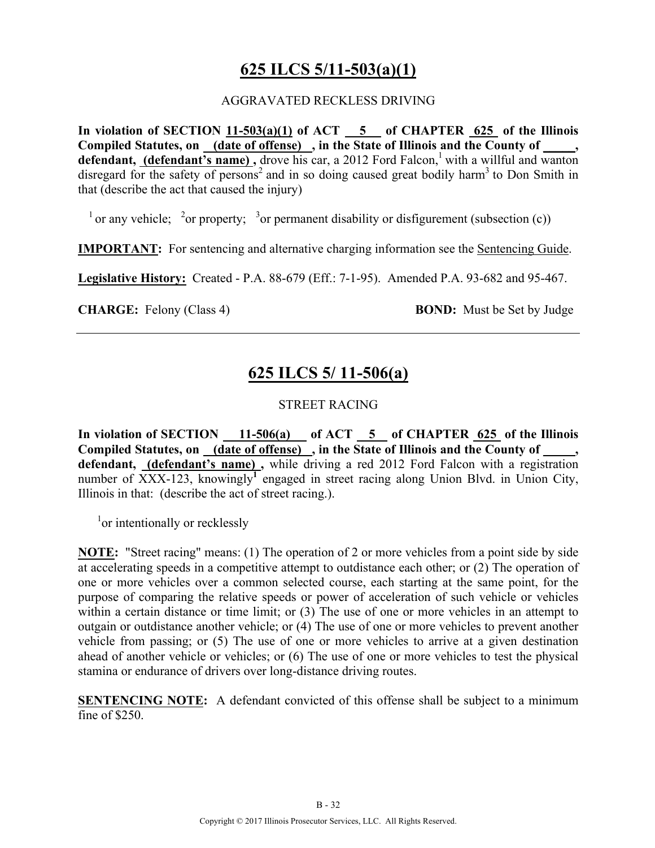### **625 ILCS 5/11-503(a)(1)**

#### AGGRAVATED RECKLESS DRIVING

**In violation of SECTION 11-503(a)(1) of ACT 5 of CHAPTER 625 of the Illinois Compiled Statutes, on (date of offense) , in the State of Illinois and the County of \_\_\_\_\_,**  defendant, (defendant's name), drove his car, a 2012 Ford Falcon,<sup>1</sup> with a willful and wanton disregard for the safety of persons<sup>2</sup> and in so doing caused great bodily harm<sup>3</sup> to Don Smith in that (describe the act that caused the injury)

 $^{-1}$  or any vehicle; <sup>2</sup> or property; <sup>3</sup> or permanent disability or disfigurement (subsection (c))

**IMPORTANT:** For sentencing and alternative charging information see the Sentencing Guide.

**Legislative History:** Created - P.A. 88-679 (Eff.: 7-1-95). Amended P.A. 93-682 and 95-467.

**CHARGE:** Felony (Class 4) **BOND:** Must be Set by Judge

### **625 ILCS 5/ 11-506(a)**

#### STREET RACING

In violation of SECTION  $\underline{\hspace{1cm}}$  11-506(a) of ACT  $\underline{\hspace{1cm}}$  5 of CHAPTER <u>625</u> of the Illinois Compiled Statutes, on <u>(date of offense)</u>, in the State of Illinois and the County of **defendant, (defendant's name) ,** while driving a red 2012 Ford Falcon with a registration number of XXX-123, knowingly<sup>T</sup> engaged in street racing along Union Blvd. in Union City, Illinois in that: (describe the act of street racing.).

<sup>1</sup>or intentionally or recklessly

**NOTE:** "Street racing" means: (1) The operation of 2 or more vehicles from a point side by side at accelerating speeds in a competitive attempt to outdistance each other; or (2) The operation of one or more vehicles over a common selected course, each starting at the same point, for the purpose of comparing the relative speeds or power of acceleration of such vehicle or vehicles within a certain distance or time limit; or  $(3)$  The use of one or more vehicles in an attempt to outgain or outdistance another vehicle; or (4) The use of one or more vehicles to prevent another vehicle from passing; or (5) The use of one or more vehicles to arrive at a given destination ahead of another vehicle or vehicles; or (6) The use of one or more vehicles to test the physical stamina or endurance of drivers over long-distance driving routes.

**SENTENCING NOTE:** A defendant convicted of this offense shall be subject to a minimum fine of \$250.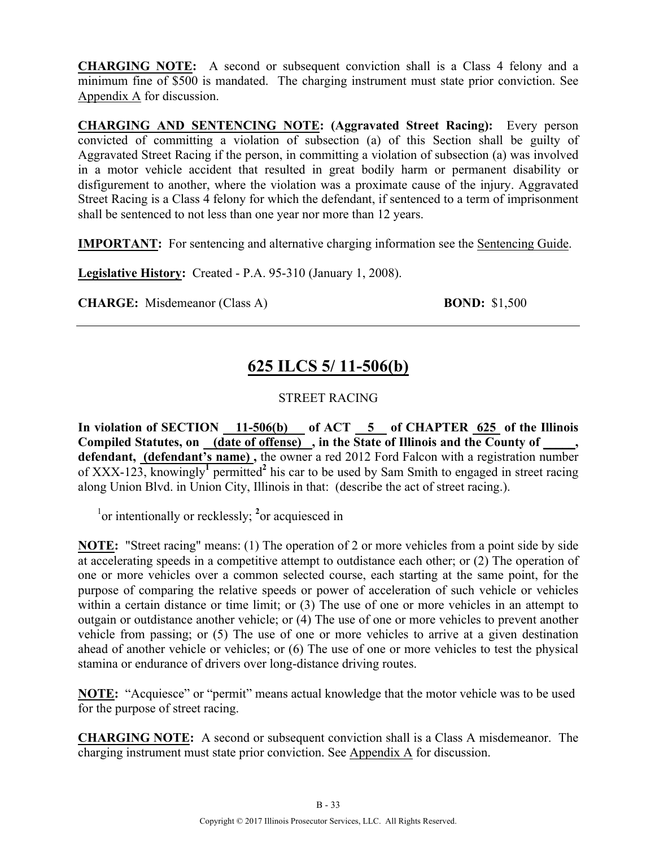**CHARGING NOTE:** A second or subsequent conviction shall is a Class 4 felony and a minimum fine of \$500 is mandated. The charging instrument must state prior conviction. See Appendix A for discussion.

**CHARGING AND SENTENCING NOTE: (Aggravated Street Racing):** Every person convicted of committing a violation of subsection (a) of this Section shall be guilty of Aggravated Street Racing if the person, in committing a violation of subsection (a) was involved in a motor vehicle accident that resulted in great bodily harm or permanent disability or disfigurement to another, where the violation was a proximate cause of the injury. Aggravated Street Racing is a Class 4 felony for which the defendant, if sentenced to a term of imprisonment shall be sentenced to not less than one year nor more than 12 years.

**IMPORTANT:** For sentencing and alternative charging information see the Sentencing Guide.

**Legislative History:** Created - P.A. 95-310 (January 1, 2008).

**CHARGE:** Misdemeanor (Class A) **BOND:** \$1,500

### **625 ILCS 5/ 11-506(b)**

#### STREET RACING

In violation of SECTION 11-506(b) of ACT 5 of CHAPTER 625 of the Illinois **Compiled Statutes, on (date of offense) , in the State of Illinois and the County of \_\_\_\_\_, defendant, (defendant's name) ,** the owner a red 2012 Ford Falcon with a registration number of XXX-123, knowingly**<sup>1</sup>** permitted**<sup>2</sup>** his car to be used by Sam Smith to engaged in street racing along Union Blvd. in Union City, Illinois in that: (describe the act of street racing.).

<sup>1</sup> or intentionally or recklessly; <sup>2</sup> or acquiesced in

**NOTE:** "Street racing" means: (1) The operation of 2 or more vehicles from a point side by side at accelerating speeds in a competitive attempt to outdistance each other; or (2) The operation of one or more vehicles over a common selected course, each starting at the same point, for the purpose of comparing the relative speeds or power of acceleration of such vehicle or vehicles within a certain distance or time limit; or  $(3)$  The use of one or more vehicles in an attempt to outgain or outdistance another vehicle; or (4) The use of one or more vehicles to prevent another vehicle from passing; or (5) The use of one or more vehicles to arrive at a given destination ahead of another vehicle or vehicles; or (6) The use of one or more vehicles to test the physical stamina or endurance of drivers over long-distance driving routes.

**NOTE:** "Acquiesce" or "permit" means actual knowledge that the motor vehicle was to be used for the purpose of street racing.

**CHARGING NOTE:** A second or subsequent conviction shall is a Class A misdemeanor. The charging instrument must state prior conviction. See Appendix A for discussion.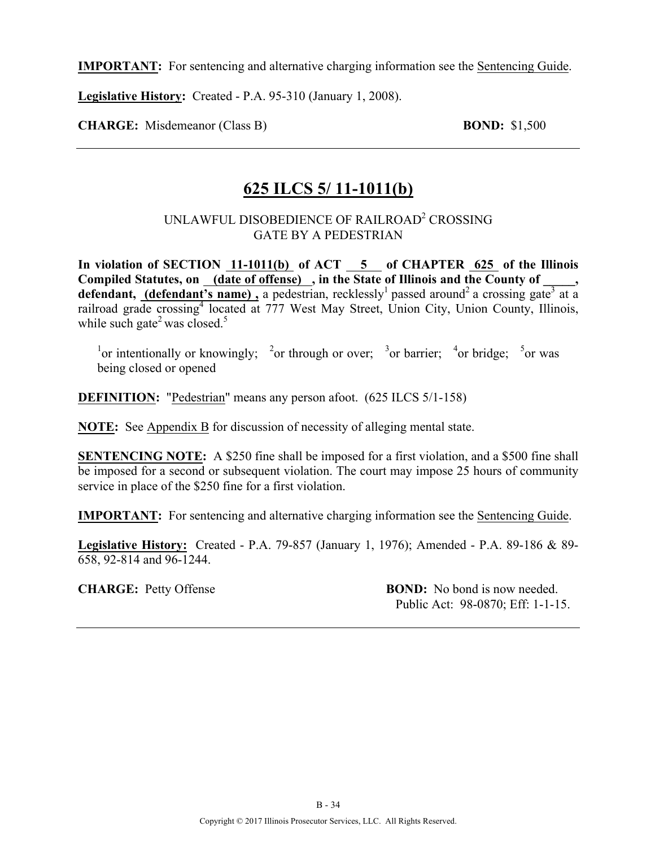**Legislative History:** Created - P.A. 95-310 (January 1, 2008).

**CHARGE:** Misdemeanor (Class B) **BOND:** \$1,500

### **625 ILCS 5/ 11-1011(b)**

#### UNLAWFUL DISOBEDIENCE OF RAILROAD2 CROSSING GATE BY A PEDESTRIAN

In violation of SECTION 11-1011(b) of ACT 5 of CHAPTER 625 of the Illinois Compiled Statutes, on <u>(date of offense)</u>, in the State of Illinois and the County of defendant, (defendant's name), a pedestrian, recklessly<sup>1</sup> passed around<sup>2</sup> a crossing gate<sup>3</sup> at a railroad grade crossing<sup>4</sup> located at 777 West May Street, Union City, Union County, Illinois, while such gate<sup>2</sup> was closed.<sup>5</sup>

<sup>1</sup> or intentionally or knowingly; <sup>2</sup> or through or over; <sup>3</sup> or barrier; <sup>4</sup> or bridge; <sup>5</sup> or was being closed or opened

**DEFINITION:** "Pedestrian" means any person afoot. (625 ILCS 5/1-158)

**NOTE:** See Appendix B for discussion of necessity of alleging mental state.

**SENTENCING NOTE:** A \$250 fine shall be imposed for a first violation, and a \$500 fine shall be imposed for a second or subsequent violation. The court may impose 25 hours of community service in place of the \$250 fine for a first violation.

**IMPORTANT:** For sentencing and alternative charging information see the Sentencing Guide.

**Legislative History:** Created - P.A. 79-857 (January 1, 1976); Amended - P.A. 89-186 & 89- 658, 92-814 and 96-1244.

**CHARGE:** Petty Offense **BOND:** No bond is now needed. Public Act: 98-0870; Eff: 1-1-15.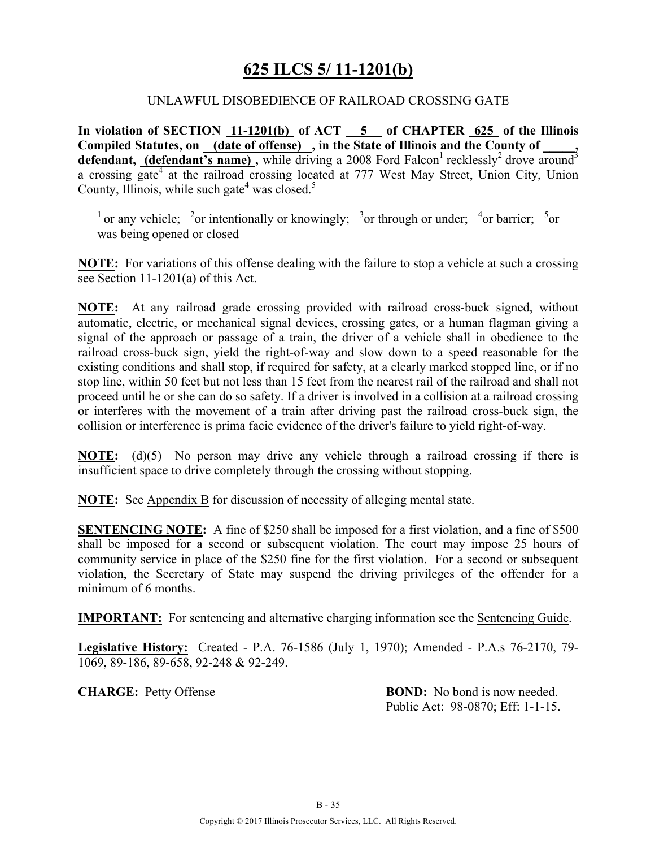### **625 ILCS 5/ 11-1201(b)**

#### UNLAWFUL DISOBEDIENCE OF RAILROAD CROSSING GATE

**In violation of SECTION 11-1201(b) of ACT 5 of CHAPTER 625 of the Illinois Compiled Statutes, on (date of offense) , in the State of Illinois and the County of \_\_\_\_\_,**  defendant, *(defendant's name)*, while driving a 2008 Ford Falcon<sup>1</sup> recklessly<sup>2</sup> drove around<sup>3</sup> a crossing gate<sup>4</sup> at the railroad crossing located at 777 West May Street, Union City, Union County, Illinois, while such gate<sup>4</sup> was closed.<sup>5</sup>

<sup>1</sup> or any vehicle; <sup>2</sup>or intentionally or knowingly; <sup>3</sup>or through or under; <sup>4</sup>or barrier; <sup>5</sup>or was being opened or closed

**NOTE:** For variations of this offense dealing with the failure to stop a vehicle at such a crossing see Section 11-1201(a) of this Act.

**NOTE:** At any railroad grade crossing provided with railroad cross-buck signed, without automatic, electric, or mechanical signal devices, crossing gates, or a human flagman giving a signal of the approach or passage of a train, the driver of a vehicle shall in obedience to the railroad cross-buck sign, yield the right-of-way and slow down to a speed reasonable for the existing conditions and shall stop, if required for safety, at a clearly marked stopped line, or if no stop line, within 50 feet but not less than 15 feet from the nearest rail of the railroad and shall not proceed until he or she can do so safety. If a driver is involved in a collision at a railroad crossing or interferes with the movement of a train after driving past the railroad cross-buck sign, the collision or interference is prima facie evidence of the driver's failure to yield right-of-way.

**NOTE:** (d)(5) No person may drive any vehicle through a railroad crossing if there is insufficient space to drive completely through the crossing without stopping.

**NOTE:** See Appendix B for discussion of necessity of alleging mental state.

**SENTENCING NOTE:** A fine of \$250 shall be imposed for a first violation, and a fine of \$500 shall be imposed for a second or subsequent violation. The court may impose 25 hours of community service in place of the \$250 fine for the first violation. For a second or subsequent violation, the Secretary of State may suspend the driving privileges of the offender for a minimum of 6 months.

**IMPORTANT:** For sentencing and alternative charging information see the Sentencing Guide.

**Legislative History:** Created - P.A. 76-1586 (July 1, 1970); Amended - P.A.s 76-2170, 79- 1069, 89-186, 89-658, 92-248 & 92-249.

**CHARGE:** Petty Offense **BOND:** No bond is now needed. Public Act: 98-0870; Eff: 1-1-15.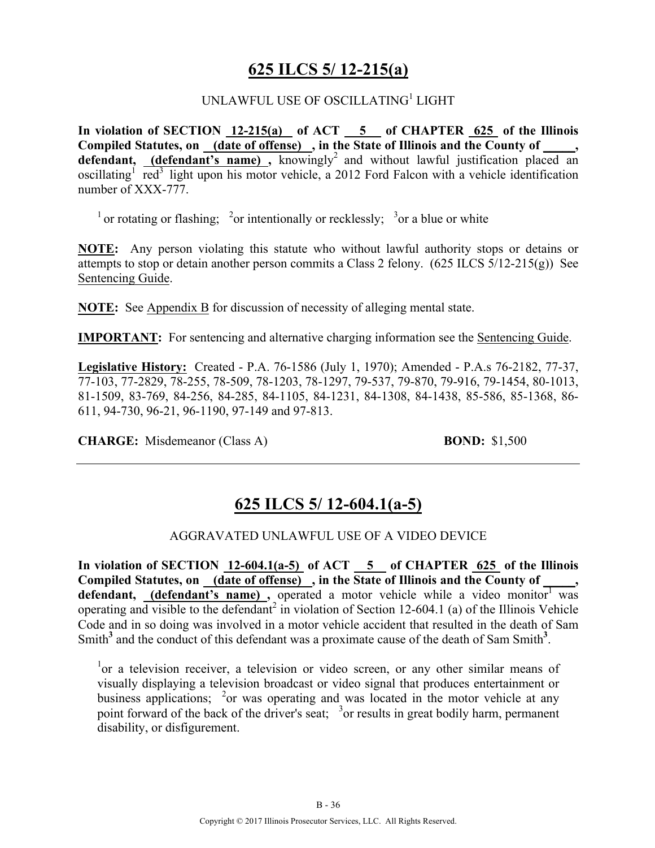### **625 ILCS 5/ 12-215(a)**

#### UNLAWFUL USE OF OSCILLATING<sup>1</sup> LIGHT

**In violation of SECTION 12-215(a) of ACT 5 of CHAPTER 625 of the Illinois Compiled Statutes, on (date of offense) , in the State of Illinois and the County of \_\_\_\_\_,**  defendant, (defendant's name), knowingly<sup>2</sup> and without lawful justification placed an oscillating<sup>1</sup> red<sup>3</sup> light upon his motor vehicle, a 2012 Ford Falcon with a vehicle identification number of XXX-777.

<sup>1</sup> or rotating or flashing; <sup>2</sup>or intentionally or recklessly; <sup>3</sup>or a blue or white

**NOTE:** Any person violating this statute who without lawful authority stops or detains or attempts to stop or detain another person commits a Class 2 felony. (625 ILCS 5/12-215(g)) See Sentencing Guide.

**NOTE:** See Appendix B for discussion of necessity of alleging mental state.

**IMPORTANT:** For sentencing and alternative charging information see the Sentencing Guide.

**Legislative History:** Created - P.A. 76-1586 (July 1, 1970); Amended - P.A.s 76-2182, 77-37, 77-103, 77-2829, 78-255, 78-509, 78-1203, 78-1297, 79-537, 79-870, 79-916, 79-1454, 80-1013, 81-1509, 83-769, 84-256, 84-285, 84-1105, 84-1231, 84-1308, 84-1438, 85-586, 85-1368, 86- 611, 94-730, 96-21, 96-1190, 97-149 and 97-813.

**CHARGE:** Misdemeanor (Class A) **BOND:** \$1,500

### **625 ILCS 5/ 12-604.1(a-5)**

#### AGGRAVATED UNLAWFUL USE OF A VIDEO DEVICE

**In violation of SECTION 12-604.1(a-5) of ACT 5 of CHAPTER 625 of the Illinois**  Compiled Statutes, on (date of offense), in the State of Illinois and the County of defendant, (defendant's name), operated a motor vehicle while a video monitor<sup>1</sup> was operating and visible to the defendant<sup>2</sup> in violation of Section 12-604.1 (a) of the Illinois Vehicle Code and in so doing was involved in a motor vehicle accident that resulted in the death of Sam Smith<sup>3</sup> and the conduct of this defendant was a proximate cause of the death of Sam Smith<sup>3</sup>.

<sup>1</sup>or a television receiver, a television or video screen, or any other similar means of visually displaying a television broadcast or video signal that produces entertainment or business applications;  $\frac{2}{3}$  or was operating and was located in the motor vehicle at any point forward of the back of the driver's seat; <sup>3</sup> or results in great bodily harm, permanent disability, or disfigurement.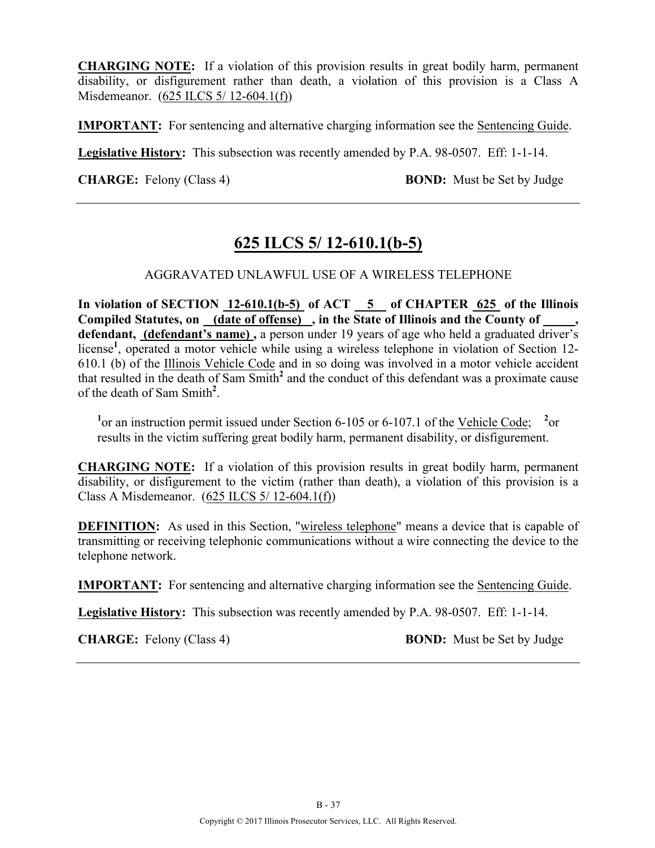**CHARGING NOTE:** If a violation of this provision results in great bodily harm, permanent disability, or disfigurement rather than death, a violation of this provision is a Class A Misdemeanor. (625 ILCS 5/ 12-604.1(f))

**IMPORTANT:** For sentencing and alternative charging information see the Sentencing Guide.

**Legislative History:** This subsection was recently amended by P.A. 98-0507. Eff: 1-1-14.

**CHARGE:** Felony (Class 4) **BOND:** Must be Set by Judge

# **625 ILCS 5/ 12-610.1(b-5)**

#### AGGRAVATED UNLAWFUL USE OF A WIRELESS TELEPHONE

In violation of SECTION 12-610.1(b-5) of ACT 5 of CHAPTER 625 of the Illinois **Compiled Statutes, on (date of offense) , in the State of Illinois and the County of \_\_\_\_\_,**  defendant, (defendant's name), a person under 19 years of age who held a graduated driver's license<sup>1</sup>, operated a motor vehicle while using a wireless telephone in violation of Section 12-610.1 (b) of the Illinois Vehicle Code and in so doing was involved in a motor vehicle accident that resulted in the death of Sam Smith**<sup>2</sup>** and the conduct of this defendant was a proximate cause of the death of Sam Smith**<sup>2</sup>** .

<sup>1</sup> or an instruction permit issued under Section 6-105 or 6-107.1 of the <u>Vehicle Code</u>; <sup>2</sup> or results in the victim suffering great bodily harm, permanent disability, or disfigurement.

**CHARGING NOTE:** If a violation of this provision results in great bodily harm, permanent disability, or disfigurement to the victim (rather than death), a violation of this provision is a Class A Misdemeanor. (625 ILCS 5/ 12-604.1(f))

**DEFINITION:** As used in this Section, "wireless telephone" means a device that is capable of transmitting or receiving telephonic communications without a wire connecting the device to the telephone network.

**IMPORTANT:** For sentencing and alternative charging information see the Sentencing Guide.

**Legislative History:** This subsection was recently amended by P.A. 98-0507. Eff: 1-1-14.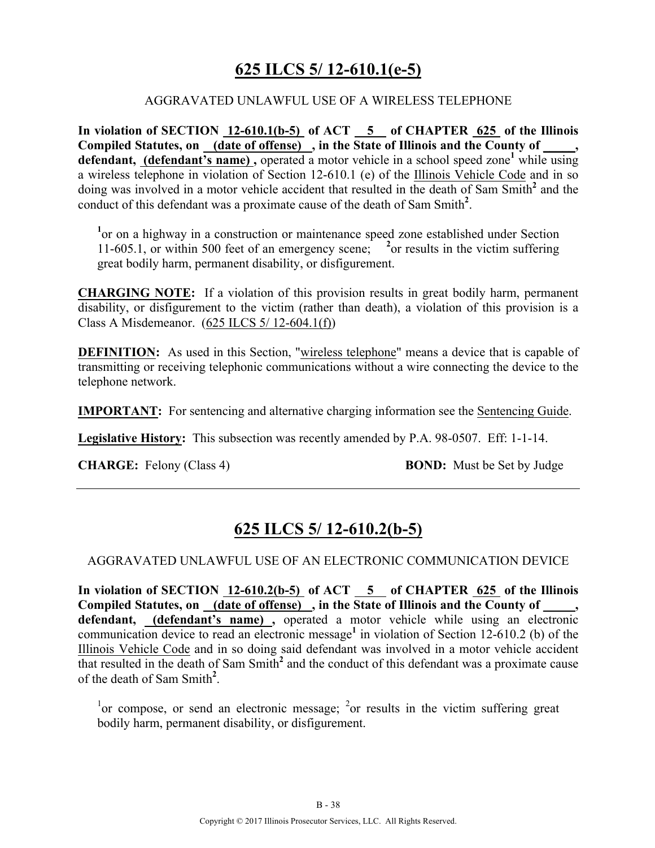# **625 ILCS 5/ 12-610.1(e-5)**

#### AGGRAVATED UNLAWFUL USE OF A WIRELESS TELEPHONE

**In violation of SECTION 12-610.1(b-5) of ACT 5 of CHAPTER 625 of the Illinois Compiled Statutes, on (date of offense) , in the State of Illinois and the County of \_\_\_\_\_, defendant, (defendant's name) ,** operated a motor vehicle in a school speed zone**<sup>1</sup>** while using a wireless telephone in violation of Section 12-610.1 (e) of the Illinois Vehicle Code and in so doing was involved in a motor vehicle accident that resulted in the death of Sam Smith**<sup>2</sup>** and the conduct of this defendant was a proximate cause of the death of Sam Smith**<sup>2</sup>** .

<sup>1</sup> or on a highway in a construction or maintenance speed zone established under Section 11-605.1, or within 500 feet of an emergency scene; **<sup>2</sup>** or results in the victim suffering great bodily harm, permanent disability, or disfigurement.

**CHARGING NOTE:** If a violation of this provision results in great bodily harm, permanent disability, or disfigurement to the victim (rather than death), a violation of this provision is a Class A Misdemeanor. (625 ILCS 5/ 12-604.1(f))

**DEFINITION:** As used in this Section, "wireless telephone" means a device that is capable of transmitting or receiving telephonic communications without a wire connecting the device to the telephone network.

**IMPORTANT:** For sentencing and alternative charging information see the Sentencing Guide.

**Legislative History:** This subsection was recently amended by P.A. 98-0507. Eff: 1-1-14.

**CHARGE:** Felony (Class 4) **BOND:** Must be Set by Judge

### **625 ILCS 5/ 12-610.2(b-5)**

#### AGGRAVATED UNLAWFUL USE OF AN ELECTRONIC COMMUNICATION DEVICE

**In violation of SECTION 12-610.2(b-5) of ACT 5 of CHAPTER 625 of the Illinois**  Compiled Statutes, on (date of offense), in the State of Illinois and the County of **defendant, (defendant's name) ,** operated a motor vehicle while using an electronic communication device to read an electronic message**<sup>1</sup>** in violation of Section 12-610.2 (b) of the Illinois Vehicle Code and in so doing said defendant was involved in a motor vehicle accident that resulted in the death of Sam Smith**<sup>2</sup>** and the conduct of this defendant was a proximate cause of the death of Sam Smith**<sup>2</sup>** .

<sup>1</sup> or compose, or send an electronic message; <sup>2</sup> or results in the victim suffering great bodily harm, permanent disability, or disfigurement.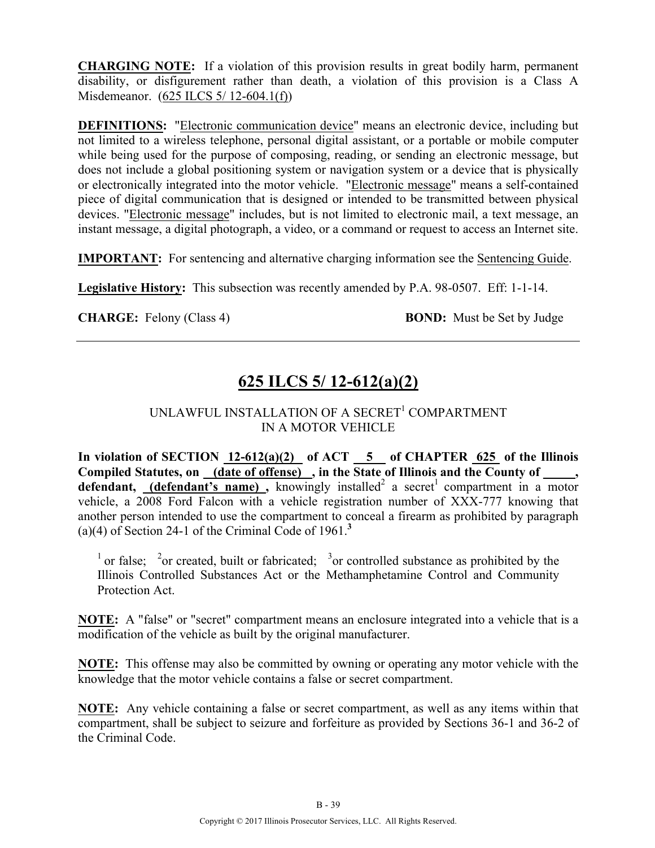**CHARGING NOTE:** If a violation of this provision results in great bodily harm, permanent disability, or disfigurement rather than death, a violation of this provision is a Class A Misdemeanor. (625 ILCS 5/ 12-604.1(f))

**DEFINITIONS:** "Electronic communication device" means an electronic device, including but not limited to a wireless telephone, personal digital assistant, or a portable or mobile computer while being used for the purpose of composing, reading, or sending an electronic message, but does not include a global positioning system or navigation system or a device that is physically or electronically integrated into the motor vehicle. "Electronic message" means a self-contained piece of digital communication that is designed or intended to be transmitted between physical devices. "Electronic message" includes, but is not limited to electronic mail, a text message, an instant message, a digital photograph, a video, or a command or request to access an Internet site.

**IMPORTANT:** For sentencing and alternative charging information see the Sentencing Guide.

**Legislative History:** This subsection was recently amended by P.A. 98-0507. Eff: 1-1-14.

**CHARGE:** Felony (Class 4) **BOND:** Must be Set by Judge

# **625 ILCS 5/ 12-612(a)(2)**

#### UNLAWFUL INSTALLATION OF A SECRET<sup>1</sup> COMPARTMENT IN A MOTOR VEHICLE

In violation of SECTION  $12-612(a)(2)$  of ACT  $\overline{5}$  of CHAPTER  $\overline{625}$  of the Illinois Compiled Statutes, on (date of offense), in the State of Illinois and the County of, **defendant,** (defendant's name), knowingly installed<sup>2</sup> a secret<sup>1</sup> compartment in a motor vehicle, a 2008 Ford Falcon with a vehicle registration number of XXX-777 knowing that another person intended to use the compartment to conceal a firearm as prohibited by paragraph (a)(4) of Section 24-1 of the Criminal Code of  $1961$ <sup>3</sup>

<sup>1</sup> or false; <sup>2</sup> or created, built or fabricated; <sup>3</sup> or controlled substance as prohibited by the Illinois Controlled Substances Act or the Methamphetamine Control and Community Protection Act.

**NOTE:** A "false" or "secret" compartment means an enclosure integrated into a vehicle that is a modification of the vehicle as built by the original manufacturer.

**NOTE:** This offense may also be committed by owning or operating any motor vehicle with the knowledge that the motor vehicle contains a false or secret compartment.

**NOTE:** Any vehicle containing a false or secret compartment, as well as any items within that compartment, shall be subject to seizure and forfeiture as provided by Sections 36-1 and 36-2 of the Criminal Code.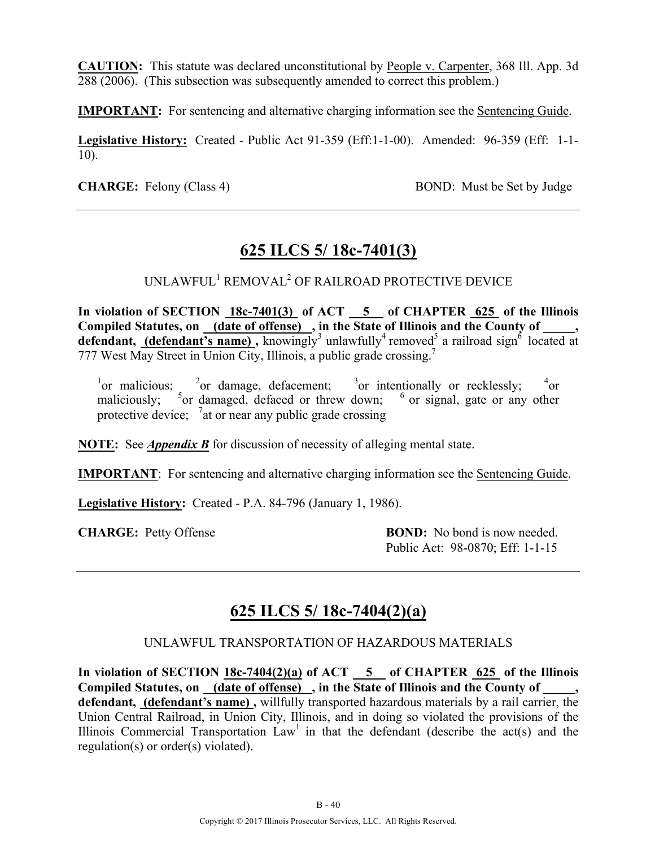**CAUTION:** This statute was declared unconstitutional by People v. Carpenter, 368 Ill. App. 3d 288 (2006). (This subsection was subsequently amended to correct this problem.)

**IMPORTANT:** For sentencing and alternative charging information see the Sentencing Guide.

**Legislative History:** Created - Public Act 91-359 (Eff:1-1-00). Amended: 96-359 (Eff: 1-1- 10).

**CHARGE:** Felony (Class 4) BOND: Must be Set by Judge

### **625 ILCS 5/ 18c-7401(3)**

UNLAWFUL1 REMOVAL2 OF RAILROAD PROTECTIVE DEVICE

In violation of SECTION  $18c-7401(3)$  of ACT  $\overline{\hspace{1cm}}$  5 of CHAPTER  $\overline{\hspace{1cm}}$  625 of the Illinois **Compiled Statutes, on (date of offense) , in the State of Illinois and the County of \_\_\_\_\_,**  defendant, (defendant's name), knowingly<sup>3</sup> unlawfully<sup>4</sup> removed<sup>5</sup> a railroad sign<sup>6</sup> located at 777 West May Street in Union City, Illinois, a public grade crossing.<sup>7</sup>

<sup>1</sup> or malicious; <sup>2</sup> or damage, defacement; <sup>3</sup> or intentionally or recklessly; <sup>4</sup> or maliciously;  $5$  or damaged, defaced or threw down;  $6$  or signal, gate or any other protective device;  $\frac{7}{4}$  or near any public grade crossing

**NOTE:** See *Appendix B* for discussion of necessity of alleging mental state.

**IMPORTANT**: For sentencing and alternative charging information see the Sentencing Guide.

**Legislative History:** Created - P.A. 84-796 (January 1, 1986).

**CHARGE:** Petty Offense **BOND:** No bond is now needed. Public Act: 98-0870; Eff: 1-1-15

# **625 ILCS 5/ 18c-7404(2)(a)**

#### UNLAWFUL TRANSPORTATION OF HAZARDOUS MATERIALS

In violation of SECTION  $18c-7404(2)(a)$  of ACT  $\overline{5}$  of CHAPTER 625 of the Illinois **Compiled Statutes, on (date of offense) , in the State of Illinois and the County of \_\_\_\_\_, defendant, (defendant's name) ,** willfully transported hazardous materials by a rail carrier, the Union Central Railroad, in Union City, Illinois, and in doing so violated the provisions of the Illinois Commercial Transportation  $Law<sup>1</sup>$  in that the defendant (describe the act(s) and the regulation(s) or order(s) violated).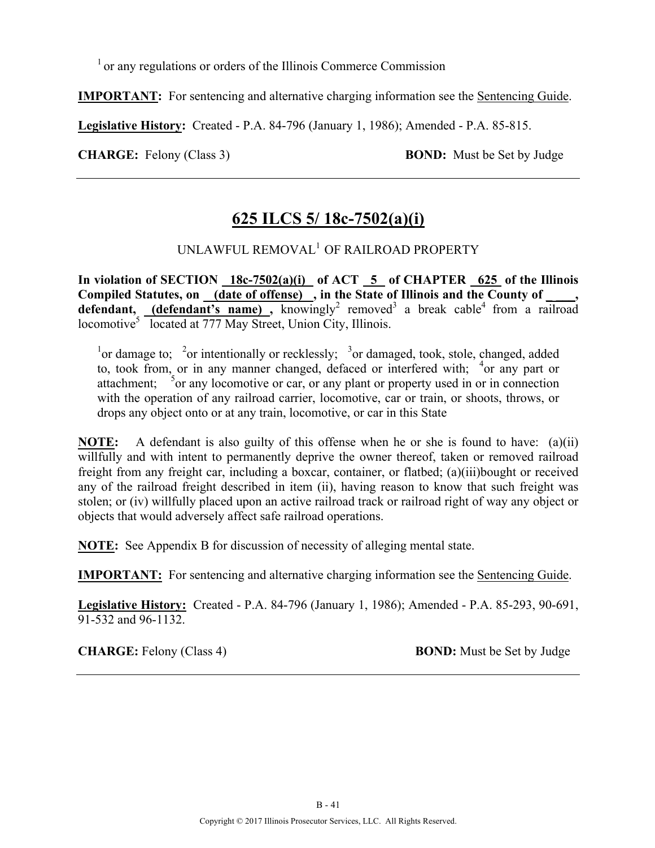$<sup>1</sup>$  or any regulations or orders of the Illinois Commerce Commission</sup>

**IMPORTANT:** For sentencing and alternative charging information see the Sentencing Guide.

**Legislative History:** Created - P.A. 84-796 (January 1, 1986); Amended - P.A. 85-815.

**CHARGE:** Felony (Class 3) **BOND:** Must be Set by Judge

# **625 ILCS 5/ 18c-7502(a)(i)**

### UNLAWFUL REMOVAL1 OF RAILROAD PROPERTY

In violation of SECTION 18c-7502(a)(i) of ACT 5 of CHAPTER 625 of the Illinois Compiled Statutes, on (date of offense), in the State of Illinois and the County of **defendant,** (defendant's name), knowingly<sup>2</sup> removed<sup>3</sup> a break cable<sup>4</sup> from a railroad locomotive<sup>5</sup> located at 777 May Street, Union City, Illinois.

<sup>1</sup> or damage to; <sup>2</sup> or intentionally or recklessly; <sup>3</sup> or damaged, took, stole, changed, added to, took from, or in any manner changed, defaced or interfered with; <sup>4</sup>or any part or attachment;  $\frac{5}{2}$  or any locomotive or car, or any plant or property used in or in connection with the operation of any railroad carrier, locomotive, car or train, or shoots, throws, or drops any object onto or at any train, locomotive, or car in this State

**NOTE:** A defendant is also guilty of this offense when he or she is found to have: (a)(ii) willfully and with intent to permanently deprive the owner thereof, taken or removed railroad freight from any freight car, including a boxcar, container, or flatbed; (a)(iii)bought or received any of the railroad freight described in item (ii), having reason to know that such freight was stolen; or (iv) willfully placed upon an active railroad track or railroad right of way any object or objects that would adversely affect safe railroad operations.

**NOTE:** See Appendix B for discussion of necessity of alleging mental state.

**IMPORTANT:** For sentencing and alternative charging information see the Sentencing Guide.

**Legislative History:** Created - P.A. 84-796 (January 1, 1986); Amended - P.A. 85-293, 90-691, 91-532 and 96-1132.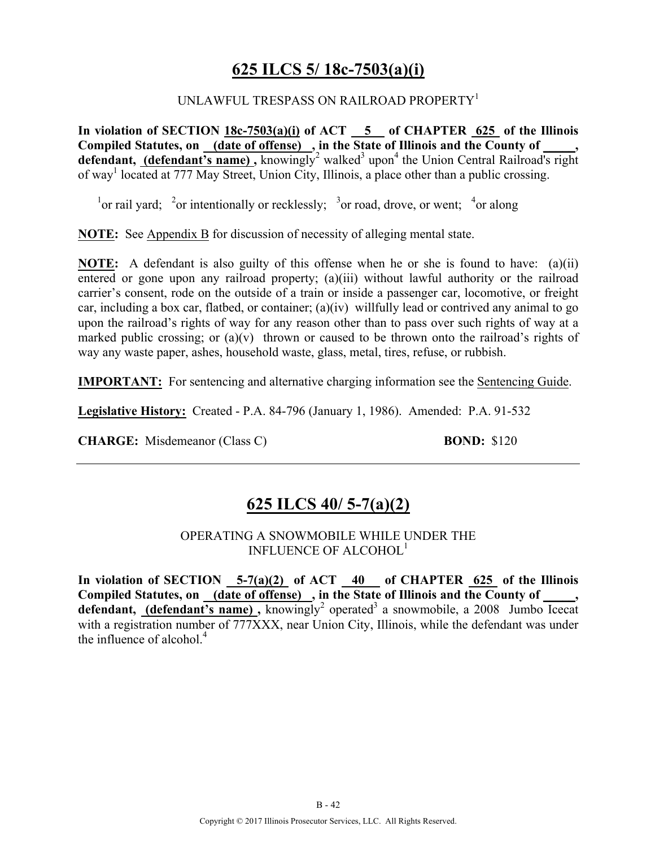### **625 ILCS 5/ 18c-7503(a)(i)**

#### UNLAWFUL TRESPASS ON RAILROAD PROPERTY<sup>1</sup>

**In violation of SECTION 18c-7503(a)(i) of ACT 5 of CHAPTER 625 of the Illinois Compiled Statutes, on (date of offense) , in the State of Illinois and the County of \_\_\_\_\_,**  defendant, *(defendant's name)*, knowingly<sup>2</sup> walked<sup>3</sup> upon<sup>4</sup> the Union Central Railroad's right of way<sup>1</sup> located at 777 May Street, Union City, Illinois, a place other than a public crossing.

<sup>1</sup> or rail yard; <sup>2</sup> or intentionally or recklessly; <sup>3</sup> or road, drove, or went; <sup>4</sup> or along

**NOTE:** See Appendix B for discussion of necessity of alleging mental state.

**NOTE:** A defendant is also guilty of this offense when he or she is found to have: (a)(ii) entered or gone upon any railroad property; (a)(iii) without lawful authority or the railroad carrier's consent, rode on the outside of a train or inside a passenger car, locomotive, or freight car, including a box car, flatbed, or container; (a)(iv) willfully lead or contrived any animal to go upon the railroad's rights of way for any reason other than to pass over such rights of way at a marked public crossing; or  $(a)(v)$  thrown or caused to be thrown onto the railroad's rights of way any waste paper, ashes, household waste, glass, metal, tires, refuse, or rubbish.

**IMPORTANT:** For sentencing and alternative charging information see the Sentencing Guide.

**Legislative History:** Created - P.A. 84-796 (January 1, 1986). Amended: P.A. 91-532

**CHARGE:** Misdemeanor (Class C) **BOND:** \$120

### **625 ILCS 40/ 5-7(a)(2)**

OPERATING A SNOWMOBILE WHILE UNDER THE INFLUENCE OF ALCOHOL<sup>1</sup>

**In violation of SECTION 5-7(a)(2) of ACT 40 of CHAPTER 625 of the Illinois Compiled Statutes, on (date of offense) , in the State of Illinois and the County of \_\_\_\_\_, defendant, (defendant's name)**, knowingly<sup>2</sup> operated<sup>3</sup> a snowmobile, a 2008 Jumbo Icecat with a registration number of 777XXX, near Union City, Illinois, while the defendant was under the influence of alcohol $<sup>4</sup>$ </sup>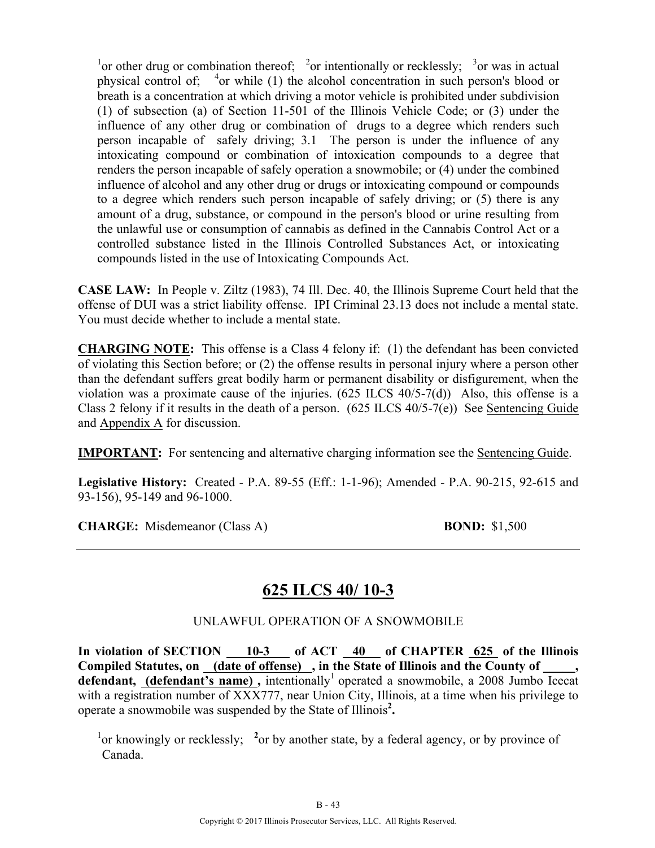<sup>1</sup> or other drug or combination thereof; <sup>2</sup> or intentionally or recklessly; <sup>3</sup> or was in actual physical control of;  $4$ or while (1) the alcohol concentration in such person's blood or breath is a concentration at which driving a motor vehicle is prohibited under subdivision (1) of subsection (a) of Section 11-501 of the Illinois Vehicle Code; or (3) under the influence of any other drug or combination of drugs to a degree which renders such person incapable of safely driving; 3.1 The person is under the influence of any intoxicating compound or combination of intoxication compounds to a degree that renders the person incapable of safely operation a snowmobile; or (4) under the combined influence of alcohol and any other drug or drugs or intoxicating compound or compounds to a degree which renders such person incapable of safely driving; or (5) there is any amount of a drug, substance, or compound in the person's blood or urine resulting from the unlawful use or consumption of cannabis as defined in the Cannabis Control Act or a controlled substance listed in the Illinois Controlled Substances Act, or intoxicating compounds listed in the use of Intoxicating Compounds Act.

**CASE LAW:** In People v. Ziltz (1983), 74 Ill. Dec. 40, the Illinois Supreme Court held that the offense of DUI was a strict liability offense. IPI Criminal 23.13 does not include a mental state. You must decide whether to include a mental state.

**CHARGING NOTE:** This offense is a Class 4 felony if: (1) the defendant has been convicted of violating this Section before; or (2) the offense results in personal injury where a person other than the defendant suffers great bodily harm or permanent disability or disfigurement, when the violation was a proximate cause of the injuries. (625 ILCS 40/5-7(d)) Also, this offense is a Class 2 felony if it results in the death of a person. (625 ILCS 40/5-7(e)) See Sentencing Guide and Appendix A for discussion.

**IMPORTANT:** For sentencing and alternative charging information see the Sentencing Guide.

**Legislative History:** Created - P.A. 89-55 (Eff.: 1-1-96); Amended - P.A. 90-215, 92-615 and 93-156), 95-149 and 96-1000.

**CHARGE:** Misdemeanor (Class A) **BOND:** \$1,500

# **625 ILCS 40/ 10-3**

UNLAWFUL OPERATION OF A SNOWMOBILE

**In violation of SECTION 10-3 of ACT 40 of CHAPTER 625 of the Illinois Compiled Statutes, on (date of offense) , in the State of Illinois and the County of \_\_\_\_\_, defendant, (defendant's name)**, intentionally<sup>1</sup> operated a snowmobile, a 2008 Jumbo Icecat with a registration number of XXX777, near Union City, Illinois, at a time when his privilege to operate a snowmobile was suspended by the State of Illinois**<sup>2</sup> .**

<sup>1</sup> or knowingly or recklessly; <sup>2</sup> or by another state, by a federal agency, or by province of Canada.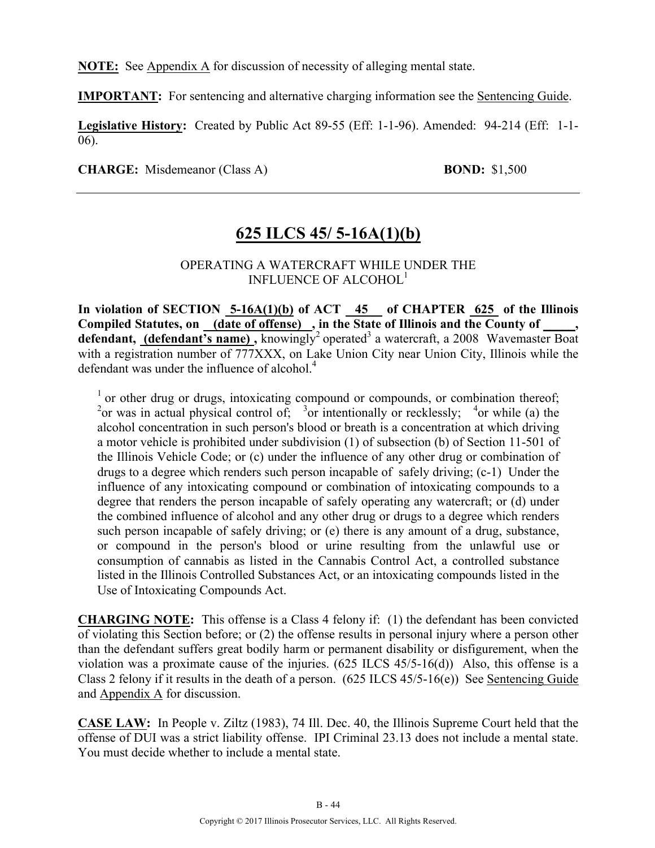**NOTE:** See Appendix A for discussion of necessity of alleging mental state.

**IMPORTANT:** For sentencing and alternative charging information see the Sentencing Guide.

**Legislative History:** Created by Public Act 89-55 (Eff: 1-1-96). Amended: 94-214 (Eff: 1-1- 06).

**CHARGE:** Misdemeanor (Class A) **BOND:** \$1,500

### **625 ILCS 45/ 5-16A(1)(b)**

#### OPERATING A WATERCRAFT WHILE UNDER THE INFLUENCE OF ALCOHOL1

**In violation of SECTION 5-16A(1)(b) of ACT 45 of CHAPTER 625 of the Illinois**  Compiled Statutes, on <u>(date of offense)</u>, in the State of Illinois and the County of defendant, (defendant's name), knowingly<sup>2</sup> operated<sup>3</sup> a watercraft, a 2008 Wavemaster Boat with a registration number of 777XXX, on Lake Union City near Union City, Illinois while the defendant was under the influence of alcohol.<sup>4</sup>

<sup>1</sup> or other drug or drugs, intoxicating compound or compounds, or combination thereof; <sup>2</sup> or was in actual physical control of; <sup>3</sup> or intentionally or recklessly; <sup>4</sup> or while (a) the alcohol concentration in such person's blood or breath is a concentration at which driving a motor vehicle is prohibited under subdivision (1) of subsection (b) of Section 11-501 of the Illinois Vehicle Code; or (c) under the influence of any other drug or combination of drugs to a degree which renders such person incapable of safely driving; (c-1) Under the influence of any intoxicating compound or combination of intoxicating compounds to a degree that renders the person incapable of safely operating any watercraft; or (d) under the combined influence of alcohol and any other drug or drugs to a degree which renders such person incapable of safely driving; or (e) there is any amount of a drug, substance, or compound in the person's blood or urine resulting from the unlawful use or consumption of cannabis as listed in the Cannabis Control Act, a controlled substance listed in the Illinois Controlled Substances Act, or an intoxicating compounds listed in the Use of Intoxicating Compounds Act.

**CHARGING NOTE:** This offense is a Class 4 felony if: (1) the defendant has been convicted of violating this Section before; or (2) the offense results in personal injury where a person other than the defendant suffers great bodily harm or permanent disability or disfigurement, when the violation was a proximate cause of the injuries.  $(625$  ILCS  $45/5-16(d)$ ) Also, this offense is a Class 2 felony if it results in the death of a person. (625 ILCS 45/5-16(e)) See Sentencing Guide and Appendix A for discussion.

**CASE LAW:** In People v. Ziltz (1983), 74 Ill. Dec. 40, the Illinois Supreme Court held that the offense of DUI was a strict liability offense. IPI Criminal 23.13 does not include a mental state. You must decide whether to include a mental state.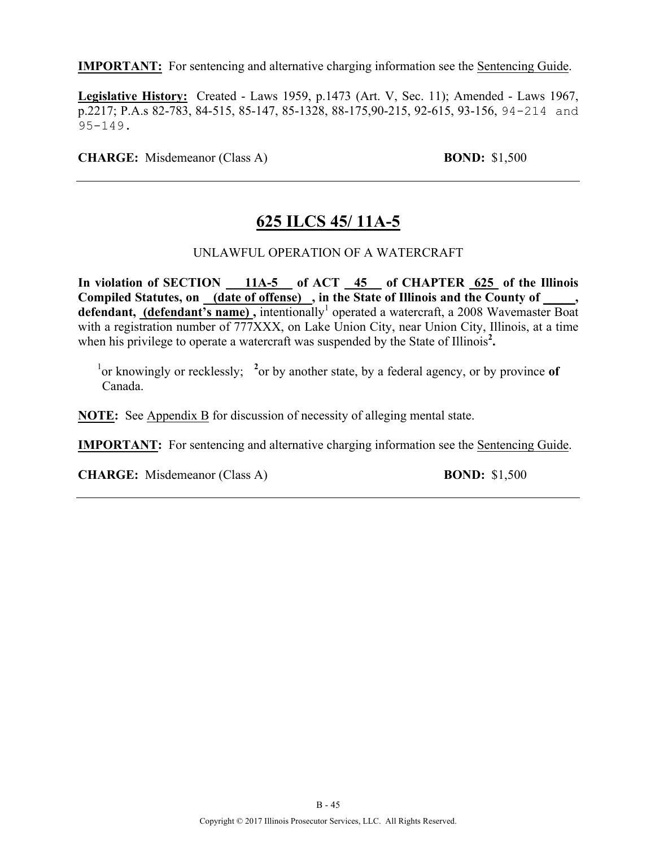**Legislative History:** Created - Laws 1959, p.1473 (Art. V, Sec. 11); Amended - Laws 1967, p.2217; P.A.s 82-783, 84-515, 85-147, 85-1328, 88-175,90-215, 92-615, 93-156, 94-214 and 95-149.

**CHARGE:** Misdemeanor (Class A) **BOND:** \$1,500

### **625 ILCS 45/ 11A-5**

#### UNLAWFUL OPERATION OF A WATERCRAFT

**In violation of SECTION 11A-5 of ACT 45 of CHAPTER 625 of the Illinois Compiled Statutes, on (date of offense) , in the State of Illinois and the County of \_\_\_\_\_,**  defendant, (defendant's name), intentionally<sup>1</sup> operated a watercraft, a 2008 Wavemaster Boat with a registration number of 777XXX, on Lake Union City, near Union City, Illinois, at a time when his privilege to operate a watercraft was suspended by the State of Illinois<sup>2</sup>.

<sup>1</sup> or knowingly or recklessly; <sup>2</sup> or by another state, by a federal agency, or by province of Canada.

**NOTE:** See Appendix B for discussion of necessity of alleging mental state.

**IMPORTANT:** For sentencing and alternative charging information see the Sentencing Guide.

**CHARGE:** Misdemeanor (Class A) **BOND:** \$1,500